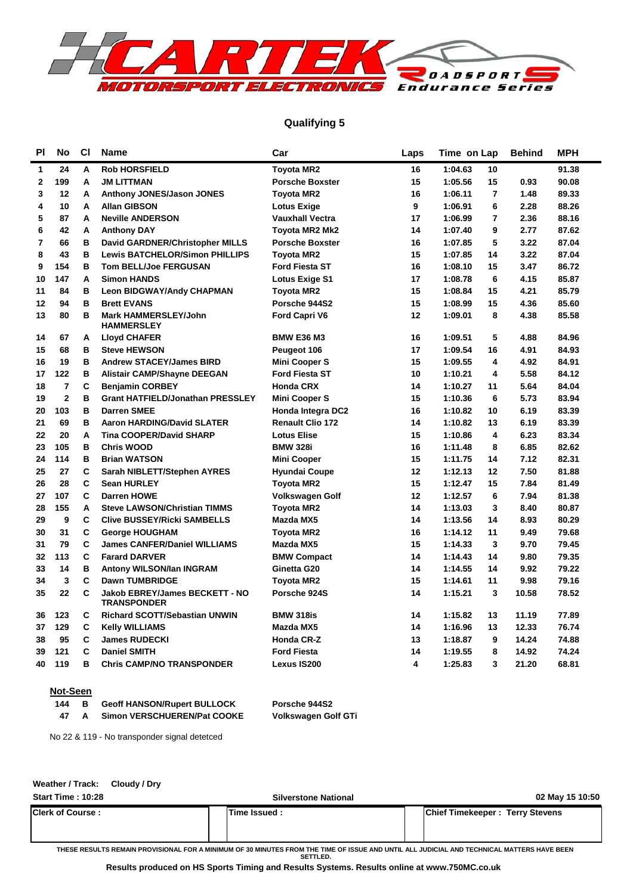

#### **Qualifying 5**

| PI             | <b>No</b>      | CI | <b>Name</b>                                                 | Car                     | Laps | Time on Lap               | <b>Behind</b> | <b>MPH</b> |
|----------------|----------------|----|-------------------------------------------------------------|-------------------------|------|---------------------------|---------------|------------|
| 1              | 24             | A  | <b>Rob HORSFIELD</b>                                        | <b>Toyota MR2</b>       | 16   | 1:04.63<br>10             |               | 91.38      |
| $\mathbf{2}$   | 199            | A  | <b>JM LITTMAN</b>                                           | <b>Porsche Boxster</b>  | 15   | 15<br>1:05.56             | 0.93          | 90.08      |
| 3              | 12             | Α  | <b>Anthony JONES/Jason JONES</b>                            | <b>Toyota MR2</b>       | 16   | $\overline{7}$<br>1:06.11 | 1.48          | 89.33      |
| 4              | 10             | A  | <b>Allan GIBSON</b>                                         | <b>Lotus Exige</b>      | 9    | 6<br>1:06.91              | 2.28          | 88.26      |
| 5              | 87             | A  | <b>Neville ANDERSON</b>                                     | <b>Vauxhall Vectra</b>  | 17   | 1:06.99<br>$\overline{7}$ | 2.36          | 88.16      |
| 6              | 42             | A  | <b>Anthony DAY</b>                                          | Toyota MR2 Mk2          | 14   | 9<br>1:07.40              | 2.77          | 87.62      |
| $\overline{7}$ | 66             | в  | David GARDNER/Christopher MILLS                             | <b>Porsche Boxster</b>  | 16   | 5<br>1:07.85              | 3.22          | 87.04      |
| 8              | 43             | B  | <b>Lewis BATCHELOR/Simon PHILLIPS</b>                       | <b>Toyota MR2</b>       | 15   | 14<br>1:07.85             | 3.22          | 87.04      |
| 9              | 154            | в  | Tom BELL/Joe FERGUSAN                                       | <b>Ford Fiesta ST</b>   | 16   | 15<br>1:08.10             | 3.47          | 86.72      |
| 10             | 147            | A  | <b>Simon HANDS</b>                                          | <b>Lotus Exige S1</b>   | 17   | 6<br>1:08.78              | 4.15          | 85.87      |
| 11             | 84             | B  | <b>Leon BIDGWAY/Andy CHAPMAN</b>                            | <b>Toyota MR2</b>       | 15   | 1:08.84<br>15             | 4.21          | 85.79      |
| 12             | 94             | B  | <b>Brett EVANS</b>                                          | Porsche 944S2           | 15   | 15<br>1:08.99             | 4.36          | 85.60      |
| 13             | 80             | B  | <b>Mark HAMMERSLEY/John</b><br><b>HAMMERSLEY</b>            | Ford Capri V6           | 12   | 8<br>1:09.01              | 4.38          | 85.58      |
| 14             | 67             | Α  | <b>Lloyd CHAFER</b>                                         | <b>BMW E36 M3</b>       | 16   | 5<br>1:09.51              | 4.88          | 84.96      |
| 15             | 68             | в  | <b>Steve HEWSON</b>                                         | Peugeot 106             | 17   | 16<br>1:09.54             | 4.91          | 84.93      |
| 16             | 19             | B  | <b>Andrew STACEY/James BIRD</b>                             | <b>Mini Cooper S</b>    | 15   | 4<br>1:09.55              | 4.92          | 84.91      |
| 17             | 122            | B  | <b>Alistair CAMP/Shayne DEEGAN</b>                          | <b>Ford Fiesta ST</b>   | 10   | 4<br>1:10.21              | 5.58          | 84.12      |
| 18             | $\overline{7}$ | C  | <b>Benjamin CORBEY</b>                                      | <b>Honda CRX</b>        | 14   | 11<br>1:10.27             | 5.64          | 84.04      |
| 19             | $\overline{2}$ | B  | <b>Grant HATFIELD/Jonathan PRESSLEY</b>                     | <b>Mini Cooper S</b>    | 15   | 1:10.36<br>6              | 5.73          | 83.94      |
| 20             | 103            | B  | <b>Darren SMEE</b>                                          | Honda Integra DC2       | 16   | 10<br>1:10.82             | 6.19          | 83.39      |
| 21             | 69             | B  | <b>Aaron HARDING/David SLATER</b>                           | <b>Renault Clio 172</b> | 14   | 1:10.82<br>13             | 6.19          | 83.39      |
| 22             | 20             | A  | <b>Tina COOPER/David SHARP</b>                              | <b>Lotus Elise</b>      | 15   | 4<br>1:10.86              | 6.23          | 83.34      |
| 23             | 105            | в  | <b>Chris WOOD</b>                                           | <b>BMW 328i</b>         | 16   | 1:11.48<br>8              | 6.85          | 82.62      |
| 24             | 114            | B  | <b>Brian WATSON</b>                                         | <b>Mini Cooper</b>      | 15   | 14<br>1:11.75             | 7.12          | 82.31      |
| 25             | 27             | C  | Sarah NIBLETT/Stephen AYRES                                 | <b>Hyundai Coupe</b>    | 12   | 12<br>1:12.13             | 7.50          | 81.88      |
| 26             | 28             | C  | <b>Sean HURLEY</b>                                          | <b>Toyota MR2</b>       | 15   | 1:12.47<br>15             | 7.84          | 81.49      |
| 27             | 107            | C  | <b>Darren HOWE</b>                                          | Volkswagen Golf         | 12   | 1:12.57<br>6              | 7.94          | 81.38      |
| 28             | 155            | A  | <b>Steve LAWSON/Christian TIMMS</b>                         | <b>Toyota MR2</b>       | 14   | 3<br>1:13.03              | 8.40          | 80.87      |
| 29             | 9              | C  | <b>Clive BUSSEY/Ricki SAMBELLS</b>                          | Mazda MX5               | 14   | 1:13.56<br>14             | 8.93          | 80.29      |
| 30             | 31             | C  | <b>George HOUGHAM</b>                                       | <b>Toyota MR2</b>       | 16   | 1:14.12<br>11             | 9.49          | 79.68      |
| 31             | 79             | C  | <b>James CANFER/Daniel WILLIAMS</b>                         | Mazda MX5               | 15   | 1:14.33<br>3              | 9.70          | 79.45      |
| 32             | 113            | C  | <b>Farard DARVER</b>                                        | <b>BMW Compact</b>      | 14   | 14<br>1:14.43             | 9.80          | 79.35      |
| 33             | 14             | B  | Antony WILSON/Ian INGRAM                                    | Ginetta G20             | 14   | 1:14.55<br>14             | 9.92          | 79.22      |
| 34             | 3              | C  | <b>Dawn TUMBRIDGE</b>                                       | <b>Toyota MR2</b>       | 15   | 1:14.61<br>11             | 9.98          | 79.16      |
| 35             | 22             | C  | <b>Jakob EBREY/James BECKETT - NO</b><br><b>TRANSPONDER</b> | Porsche 924S            | 14   | 1:15.21<br>3              | 10.58         | 78.52      |
| 36             | 123            | С  | <b>Richard SCOTT/Sebastian UNWIN</b>                        | <b>BMW 318is</b>        | 14   | 1:15.82<br>13             | 11.19         | 77.89      |
| 37             | 129            | C  | <b>Kelly WILLIAMS</b>                                       | Mazda MX5               | 14   | 1:16.96<br>13             | 12.33         | 76.74      |
| 38             | 95             | C  | <b>James RUDECKI</b>                                        | <b>Honda CR-Z</b>       | 13   | 1:18.87<br>9              | 14.24         | 74.88      |
| 39             | 121            | C  | <b>Daniel SMITH</b>                                         | <b>Ford Fiesta</b>      | 14   | 1:19.55<br>8              | 14.92         | 74.24      |
| 40             | 119            | B  | <b>Chris CAMP/NO TRANSPONDER</b>                            | Lexus IS200             | 4    | 1:25.83<br>3              | 21.20         | 68.81      |

#### **Not-Seen**

**Weather / Track: Cloudy / Dry**

| 144 | <b>Geoff HANSON/Rupert BULLOCK</b> | Porsche 944S2              |
|-----|------------------------------------|----------------------------|
| 47  | Simon VERSCHUEREN/Pat COOKE        | <b>Volkswagen Golf GTi</b> |

No 22 & 119 - No transponder signal detetced

| <b>Start Time: 10:28</b> | <b>Silverstone National</b> | 02 May 15 10:50                        |
|--------------------------|-----------------------------|----------------------------------------|
| <b>Clerk of Course :</b> | Time Issued :               | <b>Chief Timekeeper: Terry Stevens</b> |
|                          |                             |                                        |

**THESE RESULTS REMAIN PROVISIONAL FOR A MINIMUM OF 30 MINUTES FROM THE TIME OF ISSUE AND UNTIL ALL JUDICIAL AND TECHNICAL MATTERS HAVE BEEN SETTLED.**

**Results produced on HS Sports Timing and Results Systems. Results online at www.750MC.co.uk**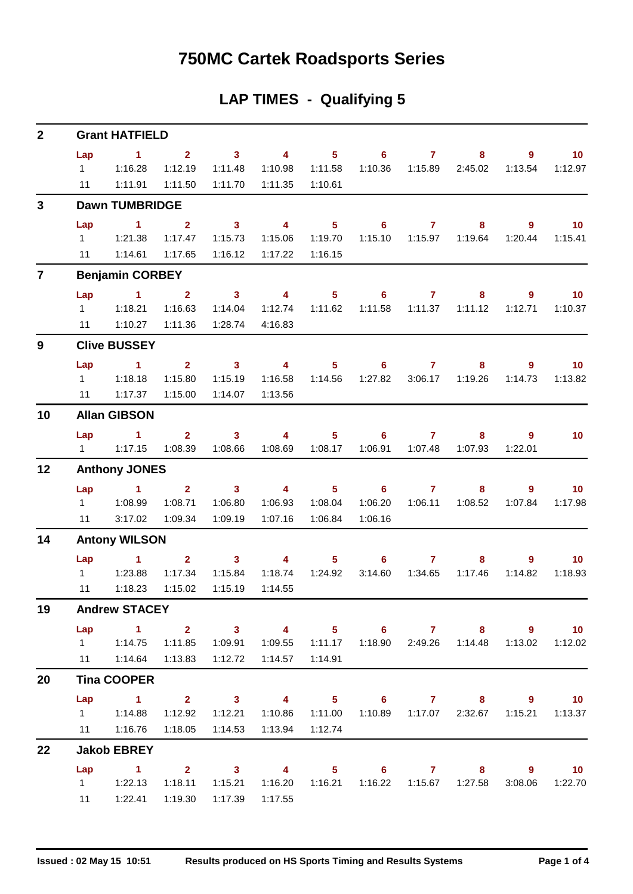### **750MC Cartek Roadsports Series**

### **LAP TIMES - Qualifying 5**

| $\mathbf{2}$            |                | <b>Grant HATFIELD</b>                                                                                                                                                                                                                |                |                            |                         |                |                                    |                         |         |         |                             |
|-------------------------|----------------|--------------------------------------------------------------------------------------------------------------------------------------------------------------------------------------------------------------------------------------|----------------|----------------------------|-------------------------|----------------|------------------------------------|-------------------------|---------|---------|-----------------------------|
|                         | Lap            | $\sim$ 1                                                                                                                                                                                                                             | 2 <sup>7</sup> | 3 <sup>1</sup>             | $\overline{4}$          | 5 <sub>5</sub> | 6                                  | $\overline{\mathbf{7}}$ | 8       | 9       | 10 <sup>°</sup>             |
|                         | $1 \quad$      | 1:16.28                                                                                                                                                                                                                              | 1:12.19        | 1:11.48                    | 1:10.98                 | 1:11.58        | 1:10.36                            | 1:15.89                 | 2:45.02 | 1:13.54 | 1:12.97                     |
|                         | 11             | 1:11.91                                                                                                                                                                                                                              | 1:11.50        | 1:11.70                    | 1:11.35                 | 1:10.61        |                                    |                         |         |         |                             |
| $\mathbf{3}$            |                | <b>Dawn TUMBRIDGE</b>                                                                                                                                                                                                                |                |                            |                         |                |                                    |                         |         |         |                             |
|                         | Lap            | $\blacktriangleleft$                                                                                                                                                                                                                 | $\overline{2}$ | $\mathbf{3}$               | $\overline{\mathbf{4}}$ | 5 <sup>5</sup> | $6^{\circ}$                        | $\overline{7}$          | 8       | 9       | 10                          |
|                         | $1 \quad$      | 1:21.38                                                                                                                                                                                                                              | 1:17.47        | 1:15.73                    | 1:15.06                 | 1:19.70        | 1:15.10                            | 1:15.97                 | 1:19.64 | 1:20.44 | 1:15.41                     |
|                         | 11             | 1:14.61                                                                                                                                                                                                                              | 1:17.65        | 1:16.12                    | 1:17.22                 | 1:16.15        |                                    |                         |         |         |                             |
| $\overline{\mathbf{r}}$ |                | <b>Benjamin CORBEY</b>                                                                                                                                                                                                               |                |                            |                         |                |                                    |                         |         |         |                             |
|                         | Lap            | $\sim$ 1                                                                                                                                                                                                                             | $\overline{2}$ | $\overline{\mathbf{3}}$    | $\overline{\mathbf{4}}$ | 5 <sup>5</sup> | 6                                  | $\overline{7}$          | 8       | 9       | 10                          |
|                         | $1 \quad$      | 1:18.21                                                                                                                                                                                                                              | 1:16.63        | 1:14.04                    | 1:12.74                 | 1:11.62        | 1:11.58                            | 1:11.37                 | 1:11.12 | 1:12.71 | 1:10.37                     |
|                         | 11             | 1:10.27                                                                                                                                                                                                                              | 1:11.36        | 1:28.74                    | 4:16.83                 |                |                                    |                         |         |         |                             |
| 9                       |                | <b>Clive BUSSEY</b>                                                                                                                                                                                                                  |                |                            |                         |                |                                    |                         |         |         |                             |
|                         | Lap            | $\blacktriangleleft$                                                                                                                                                                                                                 | 2 <sup>7</sup> | $\mathbf{3}$               | $\overline{\mathbf{4}}$ | 5 <sup>5</sup> | 6                                  | $\mathbf{7}$            | 8       | 9       | 10 <sub>1</sub>             |
|                         | $1 \quad$      | 1:18.18                                                                                                                                                                                                                              | 1:15.80        | 1:15.19                    | 1:16.58                 | 1:14.56        | 1:27.82                            | 3:06.17                 | 1:19.26 | 1:14.73 | 1:13.82                     |
|                         | 11             | 1:17.37                                                                                                                                                                                                                              | 1:15.00        | 1:14.07                    | 1:13.56                 |                |                                    |                         |         |         |                             |
| 10                      |                | <b>Allan GIBSON</b>                                                                                                                                                                                                                  |                |                            |                         |                |                                    |                         |         |         |                             |
|                         | Lap            | $\sim$ 1                                                                                                                                                                                                                             | 2 <sup>7</sup> | $\overline{\phantom{a}}$ 3 | $\overline{4}$          | $5 -$          | 6                                  | $\overline{7}$          | 8       | 9       | 10 <sub>1</sub>             |
|                         | $1 \quad \Box$ | 1:17.15                                                                                                                                                                                                                              | 1:08.39        | 1:08.66                    | 1:08.69                 | 1:08.17        | 1:06.91                            | 1:07.48                 | 1:07.93 | 1:22.01 |                             |
| 12                      |                | <b>Anthony JONES</b>                                                                                                                                                                                                                 |                |                            |                         |                |                                    |                         |         |         |                             |
|                         | Lap            | $\sim$ 1                                                                                                                                                                                                                             | 2 <sup>1</sup> | 3 <sup>7</sup>             | $\overline{4}$          | 5 <sup>1</sup> | $6^{\circ}$                        | $\overline{7}$          | 8       | 9       | 10 <sup>°</sup>             |
|                         | $1 \quad$      | 1:08.99                                                                                                                                                                                                                              | 1:08.71        | 1:06.80                    | 1:06.93                 | 1:08.04        | 1:06.20                            | 1:06.11                 | 1:08.52 | 1:07.84 | 1:17.98                     |
|                         | 11             | 3:17.02                                                                                                                                                                                                                              | 1:09.34        | 1:09.19                    | 1:07.16                 | 1:06.84        | 1:06.16                            |                         |         |         |                             |
| 14                      |                | <b>Antony WILSON</b>                                                                                                                                                                                                                 |                |                            |                         |                |                                    |                         |         |         |                             |
|                         | Lap            | <b>Contract of the Contract of the Contract of the Contract of the Contract of the Contract of the Contract of the Contract of the Contract of the Contract of the Contract of the Contract of the Contract of the Contract of t</b> | $2^{\circ}$    | $\overline{\mathbf{3}}$    | $\overline{\mathbf{4}}$ | 5 <sup>1</sup> | $6^{\circ}$                        | $\mathbf{7}$            | 8       | 9       | 10                          |
|                         | $1 \quad$      | 1:23.88                                                                                                                                                                                                                              | 1:17.34        | 1:15.84                    | 1:18.74                 | 1:24.92        | 3:14.60                            | 1:34.65                 | 1:17.46 | 1:14.82 | 1:18.93                     |
|                         | 11             | 1:18.23                                                                                                                                                                                                                              | 1:15.02        | 1:15.19                    | 1:14.55                 |                |                                    |                         |         |         |                             |
| 19                      |                | <b>Andrew STACEY</b>                                                                                                                                                                                                                 |                |                            |                         |                |                                    |                         |         |         |                             |
|                         | Lap            | 1 2 3 4 5 6 7 8 9                                                                                                                                                                                                                    |                |                            |                         |                |                                    |                         |         |         | $\sim$ 10                   |
|                         |                | 1   1:14.75   1:11.85                                                                                                                                                                                                                |                | 1:09.91                    | 1:09.55                 |                | 1:11.17  1:18.90  2:49.26  1:14.48 |                         |         | 1:13.02 | 1:12.02                     |
|                         |                | 11  1:14.64  1:13.83                                                                                                                                                                                                                 |                | 1:12.72                    | 1:14.57                 | 1:14.91        |                                    |                         |         |         |                             |
| 20                      |                | <b>Tina COOPER</b>                                                                                                                                                                                                                   |                |                            |                         |                |                                    |                         |         |         |                             |
|                         |                | Lap 1 2 3 4 5 6 7 8 9 10                                                                                                                                                                                                             |                |                            |                         |                |                                    |                         |         |         |                             |
|                         |                | 1   1:14.88                                                                                                                                                                                                                          | 1:12.92        | 1:12.21                    | 1:10.86                 |                | 1:11.00  1:10.89  1:17.07  2:32.67 |                         |         |         | 1:15.21  1:13.37            |
|                         |                | 11  1:16.76                                                                                                                                                                                                                          | 1:18.05        | 1:14.53                    | 1:13.94                 | 1:12.74        |                                    |                         |         |         |                             |
| 22                      |                | <b>Jakob EBREY</b>                                                                                                                                                                                                                   |                |                            |                         |                |                                    |                         |         |         |                             |
|                         | Lap            | $1 \t2 \t3 \t4$                                                                                                                                                                                                                      |                |                            |                         |                | 5 6 7 8 9                          |                         |         |         | $\overline{\phantom{0}}$ 10 |
|                         |                | $1 \t 1:22.13$                                                                                                                                                                                                                       | 1:18.11        | 1:15.21                    | 1:16.20                 | 1:16.21        |                                    |                         |         | 3:08.06 | 1:22.70                     |
|                         | 11             | 1:22.41                                                                                                                                                                                                                              | 1:19.30        | 1:17.39                    | 1:17.55                 |                |                                    |                         |         |         |                             |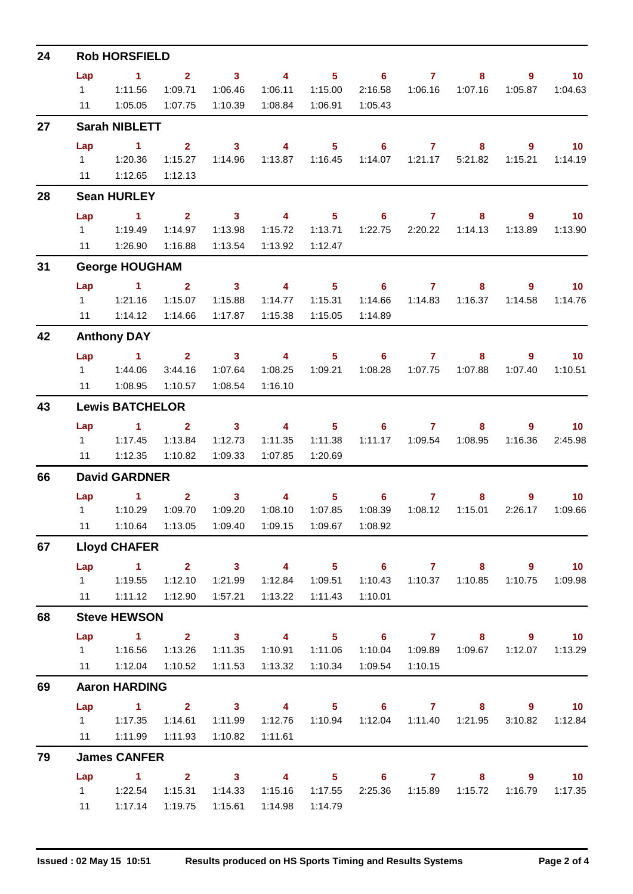| 24 |                | <b>Rob HORSFIELD</b>                                     |                         |                                     |                         |                |                            |                 |                           |              |                   |
|----|----------------|----------------------------------------------------------|-------------------------|-------------------------------------|-------------------------|----------------|----------------------------|-----------------|---------------------------|--------------|-------------------|
|    | Lap            | $\sim$ 1                                                 | $\mathbf{2}$            | $\overline{\mathbf{3}}$             | $\overline{\mathbf{4}}$ |                | $5 \t\t 6$                 | $\overline{7}$  | 8                         | 9            | 10 <sub>1</sub>   |
|    | $1 \quad$      | 1:11.56                                                  | 1:09.71                 | 1:06.46                             | 1:06.11                 | 1:15.00        | 2:16.58                    | 1:06.16         | 1:07.16                   | 1:05.87      | 1:04.63           |
|    | 11             | 1:05.05                                                  | 1:07.75                 | 1:10.39                             | 1:08.84                 | 1:06.91        | 1:05.43                    |                 |                           |              |                   |
| 27 |                | <b>Sarah NIBLETT</b>                                     |                         |                                     |                         |                |                            |                 |                           |              |                   |
|    | Lap            | $\blacktriangleleft$                                     | $2^{\circ}$             | $\mathbf{3}$                        | $\overline{4}$          | 5 <sub>5</sub> | 6                          | $\mathbf{7}$    | 8                         | 9            | 10 <sub>1</sub>   |
|    |                |                                                          | 1:15.27                 | 1:14.96                             |                         |                |                            |                 | 5:21.82                   | 1:15.21      | 1:14.19           |
|    | 11             | 1:12.65                                                  | 1:12.13                 |                                     |                         |                |                            |                 |                           |              |                   |
| 28 |                | <b>Sean HURLEY</b>                                       |                         |                                     |                         |                |                            |                 |                           |              |                   |
|    | Lap            | $\sim$ 1                                                 |                         | $2 \t 3 \t 4$                       |                         |                | $5 \t\t 6 \t\t 7$          |                 | 8                         | 9            | $\overline{10}$   |
|    | $1 \quad \Box$ | 1:19.49                                                  | 1:14.97                 | 1:13.98                             | 1:15.72                 | 1:13.71        |                            | 1:22.75 2:20.22 | 1:14.13                   | 1:13.89      | 1:13.90           |
|    | 11             | 1:26.90                                                  | 1:16.88                 | 1:13.54                             | 1:13.92                 | 1:12.47        |                            |                 |                           |              |                   |
| 31 |                | <b>George HOUGHAM</b>                                    |                         |                                     |                         |                |                            |                 |                           |              |                   |
|    | Lap            | $\blacktriangleleft$                                     | 2 <sup>1</sup>          | $\sim$ 3                            | $\overline{\mathbf{4}}$ | $5 -$          | $\overline{\phantom{a}}$ 6 | 7 <sup>7</sup>  | 8                         | $9^{\circ}$  | 10 <sub>1</sub>   |
|    |                | 1 1:21.16                                                | 1:15.07                 | 1:15.88                             | 1:14.77                 | 1:15.31        | 1:14.66                    |                 |                           | 1:14.58      | 1:14.76           |
|    |                | 11   1:14.12                                             | 1:14.66                 | 1:17.87                             | 1:15.38                 | 1:15.05        | 1:14.89                    |                 |                           |              |                   |
| 42 |                | <b>Anthony DAY</b>                                       |                         |                                     |                         |                |                            |                 |                           |              |                   |
|    | Lap            | $\sim$ $\sim$ 1.400                                      |                         | $2 \qquad \qquad 3 \qquad \qquad 4$ |                         |                | $5 \t\t 6 \t\t 7$          |                 | 8                         | 9            | $\blacksquare$ 10 |
|    |                | 1   1:44.06                                              | 3:44.16                 | 1:07.64                             | 1:08.25                 | 1:09.21        | 1:08.28                    | 1:07.75         | 1:07.88                   | 1:07.40      | 1:10.51           |
|    | 11             | 1:08.95                                                  | 1:10.57                 | 1:08.54                             | 1:16.10                 |                |                            |                 |                           |              |                   |
| 43 |                | <b>Lewis BATCHELOR</b>                                   |                         |                                     |                         |                |                            |                 |                           |              |                   |
|    | Lap            | $\blacktriangleleft$                                     | 2 <sup>2</sup>          | $\sim$ 3                            | $\overline{4}$          |                | $5^{\circ}$                | 6 7             | $8 -$                     | 9            | 10 <sup>°</sup>   |
|    | $1 \quad \Box$ | 1:17.45                                                  | 1:13.84                 | 1:12.73                             | 1:11.35                 | 1:11.38        |                            |                 | 1:11.17  1:09.54  1:08.95 | 1:16.36      | 2:45.98           |
|    | 11             | 1:12.35                                                  | 1:10.82                 | 1:09.33                             | 1:07.85                 | 1:20.69        |                            |                 |                           |              |                   |
| 66 |                | <b>David GARDNER</b>                                     |                         |                                     |                         |                |                            |                 |                           |              |                   |
|    | Lap            | $\blacktriangleleft$                                     | $\mathbf{2}$            | $\overline{\mathbf{3}}$             | $\overline{4}$          |                | $5 \t\t 6 \t\t 7$          |                 | 8                         | 9            | 10 <sup>°</sup>   |
|    | $1 \quad$      | 1:10.29                                                  | 1:09.70                 | 1:09.20                             | 1:08.10                 | 1:07.85        | 1:08.39                    | 1:08.12         | 1:15.01                   | 2:26.17      | 1:09.66           |
|    |                | 11  1:10.64  1:13.05  1:09.40  1:09.15  1:09.67  1:08.92 |                         |                                     |                         |                |                            |                 |                           |              |                   |
| 67 |                | <b>Lloyd CHAFER</b>                                      |                         |                                     |                         |                |                            |                 |                           |              |                   |
|    | Lap            | $\sim$ $\sim$ 1                                          |                         | $2 \t 3 \t 4$                       |                         |                | $5 \t 6 \t 7$              |                 |                           | $8 - 1$      | $9 \t 10$         |
|    |                |                                                          | 1:12.10                 | 1:21.99                             | 1:12.84                 | 1:09.51        | 1:10.43                    |                 |                           | 1:10.75      | 1:09.98           |
|    |                | $11 \t 1:11.12$                                          | 1:12.90                 | 1:57.21                             | 1:13.22  1:11.43        |                | 1:10.01                    |                 |                           |              |                   |
| 68 |                | <b>Steve HEWSON</b>                                      |                         |                                     |                         |                |                            |                 |                           |              |                   |
|    | Lap            | $\sim$ 1                                                 | $\overline{\mathbf{2}}$ | $\sim$ 3                            | $\overline{4}$          | $5 -$          | $\overline{\phantom{a}}$ 6 | $\overline{7}$  | 8                         | $9^{\circ}$  | $\blacksquare$ 10 |
|    |                | 1   1:16.56   1:13.26                                    |                         | 1:11.35                             | 1:10.91                 | 1:11.06        | 1:10.04                    | 1:09.89         | 1:09.67                   | 1:12.07      | 1:13.29           |
|    |                | 11  1:12.04  1:10.52                                     |                         | 1:11.53                             | 1:13.32                 | 1:10.34        | 1:09.54                    | 1:10.15         |                           |              |                   |
| 69 |                | <b>Aaron HARDING</b>                                     |                         |                                     |                         |                |                            |                 |                           |              |                   |
|    | Lap            | $\sim$ 1 $\sim$ 2                                        |                         | $3 \t 4$                            |                         |                |                            |                 |                           | 5 6 7 8 9 10 |                   |
|    | $1 \quad \Box$ | 1:17.35                                                  | 1:14.61                 | 1:11.99                             | 1:12.76                 | 1:10.94        |                            |                 | 1:12.04  1:11.40  1:21.95 | 3:10.82      | 1:12.84           |
|    |                | 11 1:11.99                                               | 1:11.93                 | 1:10.82                             | 1:11.61                 |                |                            |                 |                           |              |                   |
| 79 |                | <b>James CANFER</b>                                      |                         |                                     |                         |                |                            |                 |                           |              |                   |
|    | Lap            | $\sim$ 1                                                 | $\mathbf{2}$            | $\overline{\mathbf{3}}$             | $\overline{4}$          |                | $5 \t\t 6 \t\t 7$          |                 |                           | $8 - 1$<br>9 | 10                |
|    |                |                                                          |                         | 1:14.33                             |                         |                |                            |                 | 2:25.36  1:15.89  1:15.72 |              | 1:16.79  1:17.35  |
|    | 11             | 1:17.14                                                  | 1:19.75                 | 1:15.61                             | 1:14.98                 | 1:14.79        |                            |                 |                           |              |                   |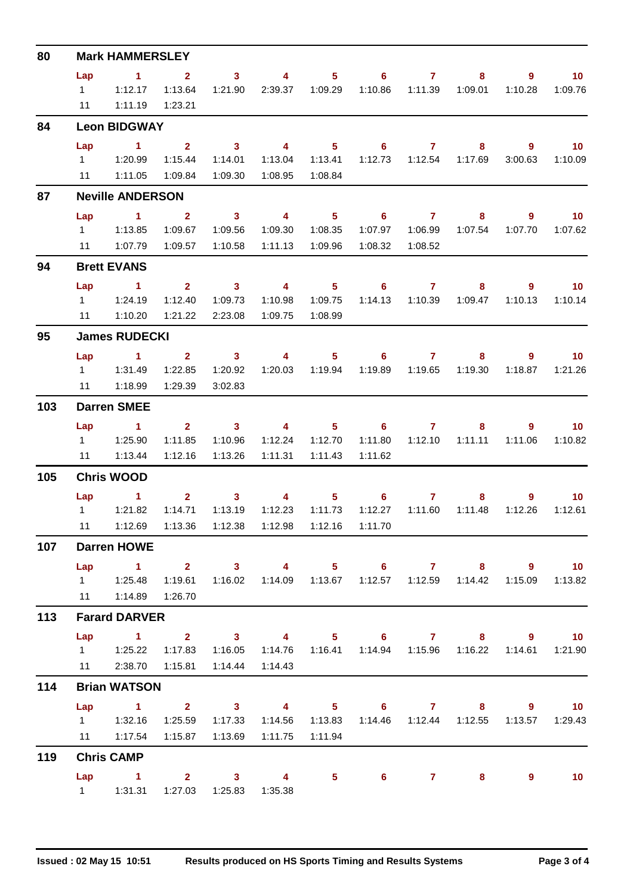| 80  | <b>Mark HAMMERSLEY</b> |                                                                                                       |                         |                         |                                                                                 |                            |                                                               |                  |                           |                |                   |  |  |
|-----|------------------------|-------------------------------------------------------------------------------------------------------|-------------------------|-------------------------|---------------------------------------------------------------------------------|----------------------------|---------------------------------------------------------------|------------------|---------------------------|----------------|-------------------|--|--|
|     | Lap                    | $\sim$ 1                                                                                              | $\sim$ 2                |                         | $3 \t 4$                                                                        |                            | $5 \t\t 6 \t\t 7$                                             |                  | 8                         |                | $\blacksquare$ 10 |  |  |
|     |                        | $1 \t 1:12.17$                                                                                        | 1:13.64                 |                         | 1:21.90  2:39.37  1:09.29                                                       |                            |                                                               |                  | 1:10.86  1:11.39  1:09.01 | 1:10.28        | 1:09.76           |  |  |
|     | 11                     | 1:11.19                                                                                               | 1:23.21                 |                         |                                                                                 |                            |                                                               |                  |                           |                |                   |  |  |
| 84  |                        | <b>Leon BIDGWAY</b>                                                                                   |                         |                         |                                                                                 |                            |                                                               |                  |                           |                |                   |  |  |
|     | Lap                    | $\sim$ 1                                                                                              | $\overline{\mathbf{2}}$ | $\overline{\mathbf{3}}$ | $\overline{\mathbf{4}}$                                                         | $\overline{\phantom{0}}$ 5 |                                                               | $6\qquad 7$      | 8                         | 9              | $\overline{10}$   |  |  |
|     |                        |                                                                                                       | 1:15.44                 | 1:14.01                 |                                                                                 |                            | 1:13.04  1:13.41  1:12.73  1:12.54  1:17.69                   |                  |                           |                | 3:00.63 1:10.09   |  |  |
|     |                        | 11  1:11.05                                                                                           | 1:09.84                 | 1:09.30                 | 1:08.95                                                                         | 1:08.84                    |                                                               |                  |                           |                |                   |  |  |
| 87  |                        | <b>Neville ANDERSON</b>                                                                               |                         |                         |                                                                                 |                            |                                                               |                  |                           |                |                   |  |  |
|     | Lap                    | $\overline{1}$ $\overline{2}$                                                                         |                         |                         | 3 4 5 6 7 8 9                                                                   |                            |                                                               |                  |                           |                | $\overline{10}$   |  |  |
|     |                        | 1 1:13.85                                                                                             | 1:09.67                 | 1:09.56                 | 1:09.30                                                                         | 1:08.35                    |                                                               | 1:07.97  1:06.99 | 1:07.54                   | 1:07.70        | 1:07.62           |  |  |
|     |                        | 11   1:07.79                                                                                          |                         |                         | 1:11.13  1:09.96                                                                |                            |                                                               | 1:08.32  1:08.52 |                           |                |                   |  |  |
| 94  |                        | <b>Brett EVANS</b>                                                                                    |                         |                         |                                                                                 |                            |                                                               |                  |                           |                |                   |  |  |
|     | Lap                    | $\sim$ 1                                                                                              | $\overline{\mathbf{2}}$ | $\overline{\mathbf{3}}$ | $\overline{\mathbf{4}}$                                                         | $\overline{\phantom{1}}$ 5 |                                                               | $6\qquad 7$      | 8                         | $\overline{9}$ | $\overline{10}$   |  |  |
|     |                        | 1 1:24.19                                                                                             | 1:12.40                 | 1:09.73                 |                                                                                 |                            |                                                               |                  | 1:14.13  1:10.39  1:09.47 |                | 1:10.13  1:10.14  |  |  |
|     |                        | 11 1:10.20                                                                                            | 1:21.22                 | 2:23.08                 | 1:09.75                                                                         | 1:08.99                    |                                                               |                  |                           |                |                   |  |  |
| 95  |                        | <b>James RUDECKI</b>                                                                                  |                         |                         |                                                                                 |                            |                                                               |                  |                           |                |                   |  |  |
|     |                        | Lap 1 2 3 4 5 6 7 8 9 10                                                                              |                         |                         |                                                                                 |                            |                                                               |                  |                           |                |                   |  |  |
|     |                        |                                                                                                       | 1:22.85                 | 1:20.92                 |                                                                                 | 1:20.03  1:19.94           |                                                               |                  | 1:19.89  1:19.65  1:19.30 | 1:18.87        | 1:21.26           |  |  |
|     |                        | 11 1:18.99                                                                                            | 1:29.39                 | 3:02.83                 |                                                                                 |                            |                                                               |                  |                           |                |                   |  |  |
| 103 |                        | <b>Darren SMEE</b>                                                                                    |                         |                         |                                                                                 |                            |                                                               |                  |                           |                |                   |  |  |
|     | Lap                    | $\sim$ 1.1                                                                                            |                         | $2 \t 3$                | $\sim$ 4                                                                        |                            | $5 \t\t 6 \t\t 7$                                             |                  |                           | $9^{\circ}$    | 10 <sub>1</sub>   |  |  |
|     |                        |                                                                                                       | 1:11.85                 | 1:10.96                 |                                                                                 |                            |                                                               |                  | 1:11.80  1:12.10  1:11.11 | 1:11.06        | 1:10.82           |  |  |
|     |                        | 11   1:13.44                                                                                          | 1:12.16                 | 1:13.26                 | 1:11.31                                                                         | 1:11.43                    | 1:11.62                                                       |                  |                           |                |                   |  |  |
| 105 |                        | <b>Chris WOOD</b>                                                                                     |                         |                         |                                                                                 |                            |                                                               |                  |                           |                |                   |  |  |
|     |                        | $Lap$ 1                                                                                               |                         |                         | $2 \qquad 3 \qquad 4 \qquad 5 \qquad 6 \qquad 7$                                |                            |                                                               |                  | 8                         | 9              | $\sim$ 10         |  |  |
|     |                        | 1 1:21.82                                                                                             | 1:14.71                 | 1:13.19                 |                                                                                 |                            |                                                               |                  | 1:12.27  1:11.60  1:11.48 | 1:12.26        | 1:12.61           |  |  |
|     |                        | 11  1:12.69  1:13.36  1:12.38  1:12.98  1:12.16  1:11.70                                              |                         |                         |                                                                                 |                            |                                                               |                  |                           |                |                   |  |  |
| 107 |                        | <b>Darren HOWE</b>                                                                                    |                         |                         |                                                                                 |                            |                                                               |                  |                           |                |                   |  |  |
|     |                        | Lap 1 2 3 4 5 6 7 8 9 10                                                                              |                         |                         |                                                                                 |                            |                                                               |                  |                           |                |                   |  |  |
|     |                        | 1   1:25.48   1:19.61   1:16.02   1:14.09   1:13.67   1:12.57   1:12.59   1:14.42   1:15.09   1:13.82 |                         |                         |                                                                                 |                            |                                                               |                  |                           |                |                   |  |  |
|     |                        | 11  1:14.89  1:26.70                                                                                  |                         |                         |                                                                                 |                            |                                                               |                  |                           |                |                   |  |  |
| 113 |                        | <b>Farard DARVER</b>                                                                                  |                         |                         |                                                                                 |                            |                                                               |                  |                           |                |                   |  |  |
|     |                        | Lap 1 2 3 4 5 6 7 8 9 10                                                                              |                         |                         |                                                                                 |                            |                                                               |                  |                           |                |                   |  |  |
|     |                        | $1 \t 1:25.22$                                                                                        |                         |                         | 1:17.83  1:16.05  1:14.76  1:16.41  1:14.94  1:15.96  1:16.22  1:14.61  1:21.90 |                            |                                                               |                  |                           |                |                   |  |  |
|     |                        | 11 2:38.70 1:15.81 1:14.44 1:14.43                                                                    |                         |                         |                                                                                 |                            |                                                               |                  |                           |                |                   |  |  |
| 114 |                        | <b>Brian WATSON</b>                                                                                   |                         |                         |                                                                                 |                            |                                                               |                  |                           |                |                   |  |  |
|     |                        | Lap 1 2 3 4 5 6 7 8 9 10                                                                              |                         |                         |                                                                                 |                            |                                                               |                  |                           |                |                   |  |  |
|     |                        |                                                                                                       |                         |                         |                                                                                 |                            | 1:14.56  1:13.83  1:14.46  1:12.44  1:12.55  1:13.57  1:29.43 |                  |                           |                |                   |  |  |
|     |                        | 11  1:17.54  1:15.87  1:13.69  1:11.75  1:11.94                                                       |                         |                         |                                                                                 |                            |                                                               |                  |                           |                |                   |  |  |
| 119 |                        | <b>Chris CAMP</b>                                                                                     |                         |                         |                                                                                 |                            |                                                               |                  |                           |                |                   |  |  |
|     |                        | Lap 1 2 3 4 5 6 7 8                                                                                   |                         |                         |                                                                                 |                            |                                                               |                  |                           | 9              | $\blacksquare$ 10 |  |  |
|     |                        | 1   1:31.31   1:27.03   1:25.83   1:35.38                                                             |                         |                         |                                                                                 |                            |                                                               |                  |                           |                |                   |  |  |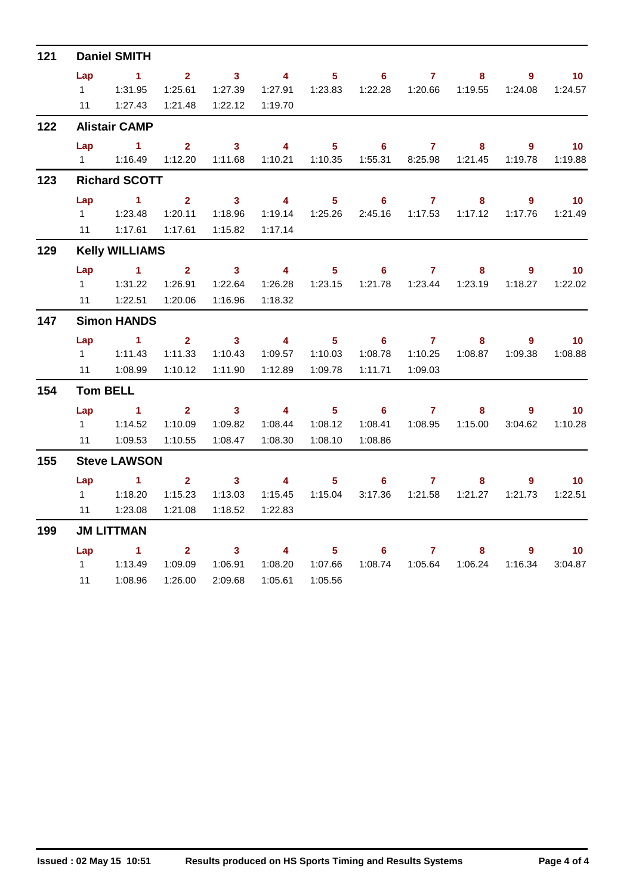| 121 | <b>Daniel SMITH</b> |                                                                                               |                         |                         |                         |                  |                                             |                     |                           |                |                                       |  |  |  |
|-----|---------------------|-----------------------------------------------------------------------------------------------|-------------------------|-------------------------|-------------------------|------------------|---------------------------------------------|---------------------|---------------------------|----------------|---------------------------------------|--|--|--|
|     | Lap                 | $\sim$ 1                                                                                      | $\overline{\mathbf{2}}$ | $\overline{\mathbf{3}}$ | $\overline{4}$          | $5 -$            | $\overline{\phantom{0}}$ 6                  | $\overline{7}$      | 8                         | $9^{\circ}$    | 10 <sub>1</sub>                       |  |  |  |
|     |                     |                                                                                               | 1:25.61                 | 1:27.39                 |                         |                  | 1:27.91  1:23.83  1:22.28  1:20.66  1:19.55 |                     |                           | 1:24.08        | 1:24.57                               |  |  |  |
|     |                     | 11   1:27.43                                                                                  | 1:21.48                 | 1:22.12                 | 1:19.70                 |                  |                                             |                     |                           |                |                                       |  |  |  |
| 122 |                     | <b>Alistair CAMP</b>                                                                          |                         |                         |                         |                  |                                             |                     |                           |                |                                       |  |  |  |
|     | Lap                 | $\sim$ 1<br>1   1:16.49   1:12.20   1:11.68   1:10.21   1:10.35   1:55.31   8:25.98   1:21.45 | $\mathbf{2}$            | $\overline{3}$ 4        |                         | $5 -$            |                                             | $\overline{6}$ 7    | 8                         | 9              | $\blacksquare$ 10<br>1:19.78  1:19.88 |  |  |  |
| 123 |                     | <b>Richard SCOTT</b>                                                                          |                         |                         |                         |                  |                                             |                     |                           |                |                                       |  |  |  |
|     | Lap                 | $\sim$ 1.000 $\sim$ 1.000 $\sim$ 1.000 $\sim$                                                 | $2^{\circ}$             | $\overline{\mathbf{3}}$ | $\overline{\mathbf{4}}$ | $5 -$            | $\overline{\phantom{a}}$ 6                  | $\overline{7}$      | 8                         | 9 <sup>°</sup> | $\overline{10}$                       |  |  |  |
|     |                     |                                                                                               | 1:20.11                 | 1:18.96                 | 1:19.14                 | 1:25.26          |                                             | 2:45.16 1:17.53     | 1:17.12                   | 1:17.76        | 1:21.49                               |  |  |  |
|     |                     | 11   1:17.61                                                                                  | 1:17.61                 | 1:15.82                 | 1:17.14                 |                  |                                             |                     |                           |                |                                       |  |  |  |
| 129 |                     | <b>Kelly WILLIAMS</b>                                                                         |                         |                         |                         |                  |                                             |                     |                           |                |                                       |  |  |  |
|     |                     | Lap 1 2 3 4                                                                                   |                         |                         |                         |                  | $5 \t\t 6 \t\t 7$                           |                     | 8                         | $9^{\circ}$    | $\blacksquare$ 10                     |  |  |  |
|     |                     | 1.31.22                                                                                       | 1:26.91                 | 1:22.64                 | 1:26.28                 |                  | 1:23.15  1:21.78  1:23.44  1:23.19          |                     |                           |                | $1:18.27$ $1:22.02$                   |  |  |  |
|     | 11                  | 1:22.51                                                                                       | 1:20.06                 | 1:16.96                 | 1:18.32                 |                  |                                             |                     |                           |                |                                       |  |  |  |
| 147 |                     | <b>Simon HANDS</b>                                                                            |                         |                         |                         |                  |                                             |                     |                           |                |                                       |  |  |  |
|     | Lap                 | $1 \t2 \t3 \t4$                                                                               |                         |                         |                         |                  | $5 \t\t 6 \t\t 7$                           |                     |                           | 9<br>$8 - 1$   | $\overline{10}$                       |  |  |  |
|     | $1 \quad$           | 1:11.43                                                                                       | 1:11.33                 | 1:10.43                 | 1:09.57                 | 1:10.03          | 1:08.78                                     | 1:10.25             | 1:08.87                   | 1:09.38        | 1:08.88                               |  |  |  |
|     | 11                  | 1:08.99                                                                                       | 1:10.12                 | 1:11.90                 | 1:12.89                 | 1:09.78          | 1:11.71                                     | 1:09.03             |                           |                |                                       |  |  |  |
| 154 |                     | <b>Tom BELL</b>                                                                               |                         |                         |                         |                  |                                             |                     |                           |                |                                       |  |  |  |
|     |                     | $\mathsf{Lap}$ 1                                                                              |                         |                         | $2 \t3 \t4$             | $\sim$ 5 $\sim$  |                                             | $6\qquad 7$         | 8                         | 9              | $\blacksquare$ 10                     |  |  |  |
|     |                     | $1 \quad 1:14.52$                                                                             | 1:10.09                 | 1:09.82                 | 1:08.44                 | 1:08.12          | 1:08.41                                     |                     |                           | 3:04.62        | 1:10.28                               |  |  |  |
|     |                     | 11 1:09.53                                                                                    | 1:10.55                 | 1:08.47                 | 1:08.30  1:08.10        |                  | 1:08.86                                     |                     |                           |                |                                       |  |  |  |
| 155 |                     | <b>Steve LAWSON</b>                                                                           |                         |                         |                         |                  |                                             |                     |                           |                |                                       |  |  |  |
|     |                     | Lap 1 2 3 4                                                                                   |                         |                         |                         | $5 -$            |                                             | $6\qquad 7$         | 8                         | $9^{\circ}$    | $\blacksquare$ 10                     |  |  |  |
|     | $1 \quad$           | 1:18.20                                                                                       | 1:15.23                 | 1:13.03                 |                         |                  | 3:17.36                                     |                     | 1:21.58  1:21.27          | 1:21.73        | 1:22.51                               |  |  |  |
|     | 11                  | 1:23.08                                                                                       | 1:21.08                 | 1:18.52                 | 1:22.83                 |                  |                                             |                     |                           |                |                                       |  |  |  |
| 199 |                     | <b>JM LITTMAN</b>                                                                             |                         |                         |                         |                  |                                             |                     |                           |                |                                       |  |  |  |
|     | Lap                 | $\sim$ $-1$                                                                                   | $2^{\circ}$             | $\sim$ 3                | $\overline{4}$          | $5 -$            |                                             | $6 \qquad \qquad 7$ | 8                         |                | $9^{\circ}$<br>10 <sup>°</sup>        |  |  |  |
|     |                     | 1 1:13.49                                                                                     | 1:09.09                 | 1:06.91                 |                         | 1:08.20  1:07.66 |                                             |                     | 1:08.74  1:05.64  1:06.24 | 1:16.34        | 3:04.87                               |  |  |  |
|     | 11                  | 1:08.96                                                                                       | 1:26.00                 | 2:09.68                 | 1:05.61                 | 1:05.56          |                                             |                     |                           |                |                                       |  |  |  |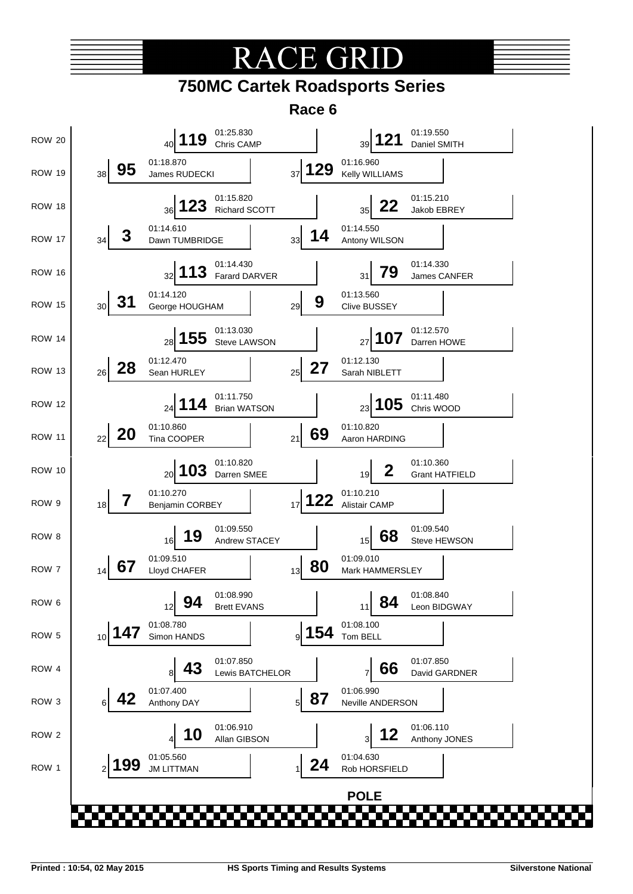# TE GR



**Race 6**

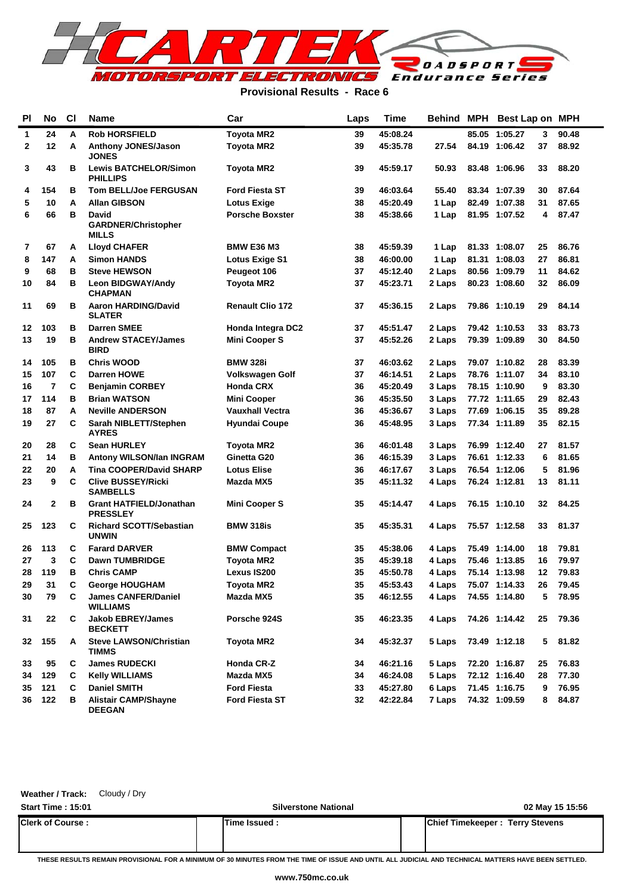

#### **Provisional Results - Race 6**

| PI | No             | <b>CI</b> | Name                                                | Car                      |    | <b>Time</b> | Behind | MPH   | <b>Best Lap on</b> |    | <b>MPH</b> |
|----|----------------|-----------|-----------------------------------------------------|--------------------------|----|-------------|--------|-------|--------------------|----|------------|
| 1  | 24             | A         | <b>Rob HORSFIELD</b>                                | <b>Toyota MR2</b>        | 39 | 45:08.24    |        | 85.05 | 1:05.27            | 3  | 90.48      |
| 2  | 12             | A         | <b>Anthony JONES/Jason</b><br><b>JONES</b>          | <b>Toyota MR2</b>        | 39 | 45:35.78    | 27.54  |       | 84.19 1:06.42      | 37 | 88.92      |
| 3  | 43             | в         | <b>Lewis BATCHELOR/Simon</b><br><b>PHILLIPS</b>     | Toyota MR2               | 39 | 45:59.17    | 50.93  |       | 83.48 1:06.96      | 33 | 88.20      |
| 4  | 154            | в         | <b>Tom BELL/Joe FERGUSAN</b>                        | <b>Ford Fiesta ST</b>    | 39 | 46:03.64    | 55.40  |       | 83.34 1:07.39      | 30 | 87.64      |
| 5  | 10             | A         | <b>Allan GIBSON</b>                                 | <b>Lotus Exige</b>       | 38 | 45:20.49    | 1 Lap  |       | 82.49 1:07.38      | 31 | 87.65      |
| 6  | 66             | в         | David<br><b>GARDNER/Christopher</b><br><b>MILLS</b> | <b>Porsche Boxster</b>   | 38 | 45:38.66    | 1 Lap  |       | 81.95 1:07.52      | 4  | 87.47      |
| 7  | 67             | A         | <b>Lloyd CHAFER</b>                                 | <b>BMW E36 M3</b>        | 38 | 45:59.39    | 1 Lap  |       | 81.33 1:08.07      | 25 | 86.76      |
| 8  | 147            | A         | <b>Simon HANDS</b>                                  | Lotus Exige S1           | 38 | 46:00.00    | 1 Lap  |       | 81.31 1:08.03      | 27 | 86.81      |
| 9  | 68             | в         | <b>Steve HEWSON</b>                                 | Peugeot 106              | 37 | 45:12.40    | 2 Laps |       | 80.56 1:09.79      | 11 | 84.62      |
| 10 | 84             | в         | <b>Leon BIDGWAY/Andy</b><br><b>CHAPMAN</b>          | <b>Toyota MR2</b>        | 37 | 45:23.71    | 2 Laps |       | 80.23 1:08.60      | 32 | 86.09      |
| 11 | 69             | в         | <b>Aaron HARDING/David</b><br><b>SLATER</b>         | <b>Renault Clio 172</b>  | 37 | 45:36.15    | 2 Laps |       | 79.86 1:10.19      | 29 | 84.14      |
| 12 | 103            | в         | <b>Darren SMEE</b>                                  | <b>Honda Integra DC2</b> | 37 | 45:51.47    | 2 Laps |       | 79.42 1:10.53      | 33 | 83.73      |
| 13 | 19             | в         | <b>Andrew STACEY/James</b><br><b>BIRD</b>           | <b>Mini Cooper S</b>     | 37 | 45:52.26    | 2 Laps |       | 79.39 1:09.89      | 30 | 84.50      |
| 14 | 105            | в         | <b>Chris WOOD</b>                                   | <b>BMW 328i</b>          | 37 | 46:03.62    | 2 Laps |       | 79.07 1:10.82      | 28 | 83.39      |
| 15 | 107            | C         | <b>Darren HOWE</b>                                  | <b>Volkswagen Golf</b>   | 37 | 46:14.51    | 2 Laps |       | 78.76 1:11.07      | 34 | 83.10      |
| 16 | $\overline{7}$ | C         | <b>Benjamin CORBEY</b>                              | <b>Honda CRX</b>         | 36 | 45:20.49    | 3 Laps |       | 78.15 1:10.90      | 9  | 83.30      |
| 17 | 114            | в         | <b>Brian WATSON</b>                                 | <b>Mini Cooper</b>       | 36 | 45:35.50    | 3 Laps |       | 77.72 1:11.65      | 29 | 82.43      |
| 18 | 87             | A         | <b>Neville ANDERSON</b>                             | <b>Vauxhall Vectra</b>   | 36 | 45:36.67    | 3 Laps |       | 77.69 1:06.15      | 35 | 89.28      |
| 19 | 27             | С         | Sarah NIBLETT/Stephen<br><b>AYRES</b>               | <b>Hyundai Coupe</b>     | 36 | 45:48.95    | 3 Laps |       | 77.34 1:11.89      | 35 | 82.15      |
| 20 | 28             | С         | <b>Sean HURLEY</b>                                  | Toyota MR2               | 36 | 46:01.48    | 3 Laps |       | 76.99 1:12.40      | 27 | 81.57      |
| 21 | 14             | в         | Antony WILSON/Ian INGRAM                            | Ginetta G20              | 36 | 46:15.39    | 3 Laps |       | 76.61 1:12.33      | 6  | 81.65      |
| 22 | 20             | A         | <b>Tina COOPER/David SHARP</b>                      | <b>Lotus Elise</b>       | 36 | 46:17.67    | 3 Laps |       | 76.54 1:12.06      | 5  | 81.96      |
| 23 | 9              | C         | <b>Clive BUSSEY/Ricki</b><br><b>SAMBELLS</b>        | Mazda MX5                | 35 | 45:11.32    | 4 Laps |       | 76.24 1:12.81      | 13 | 81.11      |
| 24 | 2              | в         | <b>Grant HATFIELD/Jonathan</b><br><b>PRESSLEY</b>   | <b>Mini Cooper S</b>     | 35 | 45:14.47    | 4 Laps |       | 76.15 1:10.10      | 32 | 84.25      |
| 25 | 123            | С         | <b>Richard SCOTT/Sebastian</b><br><b>UNWIN</b>      | <b>BMW 318is</b>         | 35 | 45:35.31    | 4 Laps |       | 75.57 1:12.58      | 33 | 81.37      |
| 26 | 113            | С         | <b>Farard DARVER</b>                                | <b>BMW Compact</b>       | 35 | 45:38.06    | 4 Laps |       | 75.49 1:14.00      | 18 | 79.81      |
| 27 | 3              | C         | <b>Dawn TUMBRIDGE</b>                               | Toyota MR2               | 35 | 45:39.18    | 4 Laps |       | 75.46 1:13.85      | 16 | 79.97      |
| 28 | 119            | в         | <b>Chris CAMP</b>                                   | Lexus IS200              | 35 | 45:50.78    | 4 Laps |       | 75.14 1:13.98      | 12 | 79.83      |
| 29 | 31             | C         | <b>George HOUGHAM</b>                               | Toyota MR2               | 35 | 45:53.43    | 4 Laps |       | 75.07 1:14.33      | 26 | 79.45      |
| 30 | 79             | C         | <b>James CANFER/Daniel</b><br><b>WILLIAMS</b>       | Mazda MX5                | 35 | 46:12.55    | 4 Laps |       | 74.55 1:14.80      | 5  | 78.95      |
| 31 | 22             | С         | <b>Jakob EBREY/James</b><br><b>BECKETT</b>          | Porsche 924S             | 35 | 46:23.35    | 4 Laps |       | 74.26 1:14.42      | 25 | 79.36      |
| 32 | 155            | A         | <b>Steve LAWSON/Christian</b><br>TIMMS              | <b>Toyota MR2</b>        | 34 | 45:32.37    | 5 Laps |       | 73.49 1:12.18      | 5  | 81.82      |
| 33 | 95             | С         | <b>James RUDECKI</b>                                | Honda CR-Z               | 34 | 46:21.16    | 5 Laps |       | 72.20 1:16.87      | 25 | 76.83      |
| 34 | 129            | C         | <b>Kelly WILLIAMS</b>                               | Mazda MX5                | 34 | 46:24.08    | 5 Laps |       | 72.12 1:16.40      | 28 | 77.30      |
| 35 | 121            | C         | <b>Daniel SMITH</b>                                 | <b>Ford Fiesta</b>       | 33 | 45:27.80    | 6 Laps |       | 71.45 1:16.75      | 9  | 76.95      |
| 36 | 122            | в         | <b>Alistair CAMP/Shayne</b><br><b>DEEGAN</b>        | <b>Ford Fiesta ST</b>    | 32 | 42:22.84    | 7 Laps |       | 74.32 1:09.59      | 8  | 84.87      |

**Weather / Track:** Cloudy / Dry

| <b>Start Time: 15:01</b> | <b>Silverstone National</b> | 02 May 15 15:56                        |
|--------------------------|-----------------------------|----------------------------------------|
| <b>Clerk of Course :</b> | lTime Issued :              | <b>Chief Timekeeper: Terry Stevens</b> |
|                          |                             |                                        |

**THESE RESULTS REMAIN PROVISIONAL FOR A MINIMUM OF 30 MINUTES FROM THE TIME OF ISSUE AND UNTIL ALL JUDICIAL AND TECHNICAL MATTERS HAVE BEEN SETTLED.**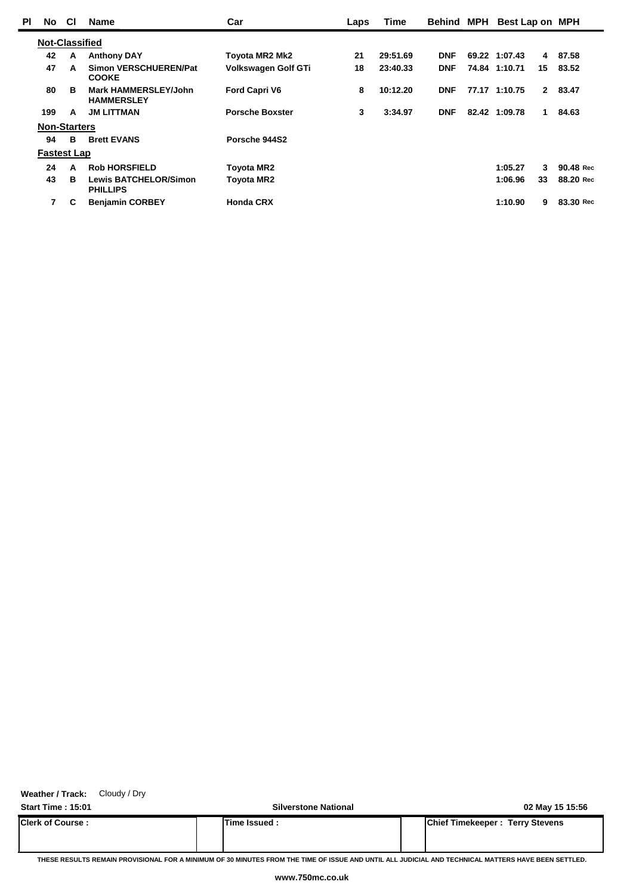| ΡI | <b>No</b>             | <b>CI</b> | <b>Name</b>                                      | Car                    | Laps | <b>Time</b> | <b>Behind MPH</b> | Best Lap on MPH |             |           |  |
|----|-----------------------|-----------|--------------------------------------------------|------------------------|------|-------------|-------------------|-----------------|-------------|-----------|--|
|    | <b>Not-Classified</b> |           |                                                  |                        |      |             |                   |                 |             |           |  |
|    | 42                    | A         | <b>Anthony DAY</b>                               | <b>Toyota MR2 Mk2</b>  | 21   | 29:51.69    | <b>DNF</b>        | 69.22 1:07.43   | 4           | 87.58     |  |
|    | 47                    | A         | <b>Simon VERSCHUEREN/Pat</b><br><b>COOKE</b>     | Volkswagen Golf GTi    | 18   | 23:40.33    | <b>DNF</b>        | 74.84 1:10.71   | 15          | 83.52     |  |
|    | 80                    | в         | <b>Mark HAMMERSLEY/John</b><br><b>HAMMERSLEY</b> | <b>Ford Capri V6</b>   | 8    | 10:12.20    | <b>DNF</b>        | 77.17 1:10.75   | $2^{\circ}$ | 83.47     |  |
|    | 199                   | A         | <b>JM LITTMAN</b>                                | <b>Porsche Boxster</b> | 3    | 3:34.97     | <b>DNF</b>        | 82.42 1:09.78   | 1.          | 84.63     |  |
|    | <b>Non-Starters</b>   |           |                                                  |                        |      |             |                   |                 |             |           |  |
|    | 94                    | B         | <b>Brett EVANS</b>                               | Porsche 944S2          |      |             |                   |                 |             |           |  |
|    | <b>Fastest Lap</b>    |           |                                                  |                        |      |             |                   |                 |             |           |  |
|    | 24                    | A         | <b>Rob HORSFIELD</b>                             | <b>Toyota MR2</b>      |      |             |                   | 1:05.27         | 3           | 90.48 Rec |  |
|    | 43                    | в         | <b>Lewis BATCHELOR/Simon</b><br><b>PHILLIPS</b>  | <b>Toyota MR2</b>      |      |             |                   | 1:06.96         | 33          | 88.20 Rec |  |
|    | 7                     | С         | <b>Benjamin CORBEY</b>                           | <b>Honda CRX</b>       |      |             |                   | 1:10.90         | 9           | 83.30 Rec |  |

**Weather / Track:** Cloudy / Dry

**Start Time : 15:01 Silverstone National 02 May 15 15:56 Clerk of Course : Time Issued : Chief Timekeeper : Terry Stevens**

**THESE RESULTS REMAIN PROVISIONAL FOR A MINIMUM OF 30 MINUTES FROM THE TIME OF ISSUE AND UNTIL ALL JUDICIAL AND TECHNICAL MATTERS HAVE BEEN SETTLED.**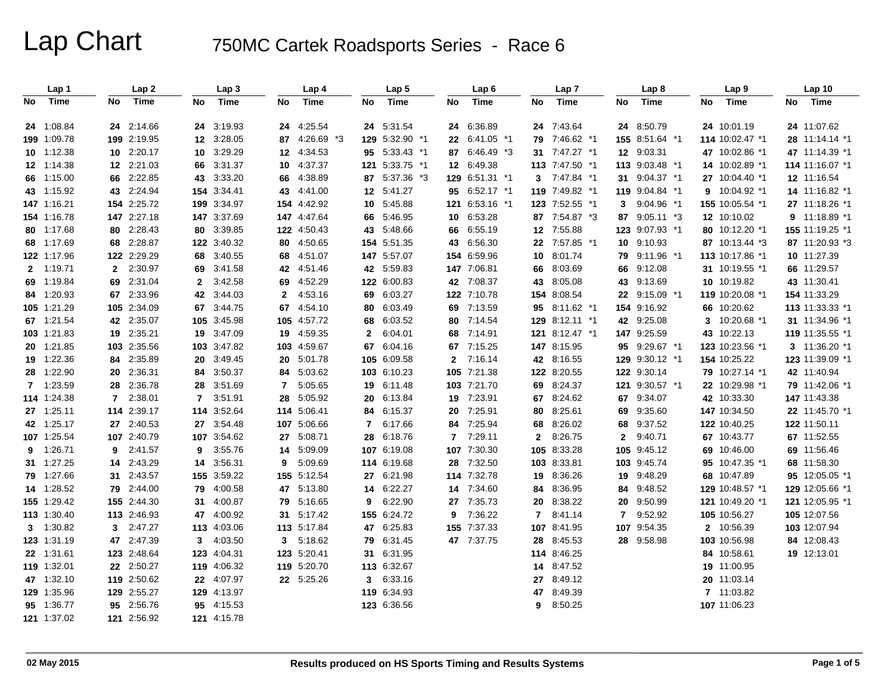|    | Lap 1       |                | Lap2        |                 | Lap 3       |              | Lap 4       |              | Lap <sub>5</sub> |    | Lap6           |              | Lap 7           |                |                 | Lap <sub>8</sub> |  |    | Lap <sub>9</sub> |    | Lap 10            |  |
|----|-------------|----------------|-------------|-----------------|-------------|--------------|-------------|--------------|------------------|----|----------------|--------------|-----------------|----------------|-----------------|------------------|--|----|------------------|----|-------------------|--|
| No | Time        | No             | Time        | No              | Time        | No           | Time        | No           | Time             | No | Time           | No           |                 | Time           | No              | Time             |  | No | <b>Time</b>      | No | Time              |  |
|    | 24 1:08.84  |                | 24 2:14.66  | 24              | 3:19.93     | 24           | 4:25.54     |              | 24 5:31.54       |    | 24 6:36.89     |              |                 | 24 7:43.64     |                 | 24 8:50.79       |  |    | 24 10:01.19      |    | 24 11:07.62       |  |
|    | 199 1:09.78 |                | 199 2:19.95 | 12 <sup>°</sup> | 3:28.05     | 87           | 4:26.69 *3  |              | 129 5:32.90 *1   |    | 22 6:41.05 *1  |              |                 | 79 7:46.62 *1  |                 | 155 8:51.64 *1   |  |    | 114 10:02.47 *1  |    | 28 11:14.14 *1    |  |
|    | 10 1:12.38  |                | 10 2:20.17  | 10              | 3:29.29     | $12 \,$      | 4:34.53     |              | 95 5:33.43 *1    |    | 87 6:46.49 *3  |              |                 | 31 7:47.27 *1  | 12 <sup>°</sup> | 9:03.31          |  |    | 47 10:02.86 *1   |    | 47 11:14.39 *1    |  |
|    | 12 1:14.38  |                | 12 2:21.03  | 66              | 3:31.37     | 10           | 4:37.37     |              | 121 5:33.75 *1   |    | 12 6:49.38     |              |                 | 113 7:47.50 *1 |                 | 113 9:03.48 *1   |  |    | 14 10:02.89 *1   |    | 114 11:16.07 *1   |  |
|    | 66 1:15.00  |                | 66 2:22.85  | 43              | 3:33.20     | 66           | 4:38.89     |              | 87 5:37.36 *3    |    | 129 6:51.31 *1 |              |                 | 3 7:47.84 *1   | 31              | $9:04.37$ *1     |  |    | 27 10:04.40 *1   |    | 12 11:16.54       |  |
|    | 43 1:15.92  |                | 43 2:24.94  |                 | 154 3:34.41 | 43           | 4:41.00     |              | 12 5:41.27       |    | 95 6:52.17 *1  |              |                 | 119 7:49.82 *1 |                 | 119 9:04.84 *1   |  | 9  | 10:04.92 *1      |    | 14 11:16.82 *1    |  |
|    | 147 1:16.21 |                | 154 2:25.72 |                 | 199 3:34.97 | 154          | 4:42.92     | 10           | 5:45.88          |    | 121 6:53.16 *1 |              |                 | 123 7:52.55 *1 | 3               | 9:04.96 *1       |  |    | 155 10:05.54 *1  |    | 27 11:18.26 *1    |  |
|    | 154 1:16.78 |                | 147 2:27.18 |                 | 147 3:37.69 | 147          | 4:47.64     | 66           | 5:46.95          |    | 10 6:53.28     |              |                 | 87 7:54.87 *3  | 87              | $9:05.11*3$      |  |    | 12 10:10.02      |    | $9$ 11:18.89 $*1$ |  |
|    | 80 1:17.68  |                | 80 2:28.43  | 80              | 3:39.85     |              | 122 4:50.43 |              | 43 5:48.66       |    | 66 6:55.19     |              |                 | 12 7:55.88     |                 | 123 9:07.93 *1   |  |    | 80 10:12.20 *1   |    | 155 11:19.25 *1   |  |
|    | 68 1:17.69  |                | 68 2:28.87  |                 | 122 3:40.32 | 80           | 4:50.65     |              | 154 5:51.35      |    | 43 6:56.30     |              |                 | 22 7:57.85 *1  | 10              | 9:10.93          |  |    | 87 10:13.44 *3   |    | 87 11:20.93 *3    |  |
|    | 122 1:17.96 |                | 122 2:29.29 | 68              | 3:40.55     | 68           | 4:51.07     |              | 147 5:57.07      |    | 154 6:59.96    |              | 10 <sup>1</sup> | 8:01.74        | 79              | 9:11.96 *1       |  |    | 113 10:17.86 *1  |    | 10 11:27.39       |  |
|    | 2 1:19.71   |                | 2 2:30.97   | 69              | 3:41.58     | 42           | 4:51.46     |              | 42 5:59.83       |    | 147 7:06.81    |              | 66              | 8:03.69        | 66              | 9:12.08          |  |    | 31 10:19.55 *1   |    | 66 11:29.57       |  |
|    | 69 1:19.84  |                | 69 2:31.04  | $\mathbf{2}$    | 3:42.58     | 69           | 4:52.29     |              | 122 6:00.83      |    | 42 7:08.37     |              | 43              | 8:05.08        | 43              | 9:13.69          |  |    | 10 10:19.82      |    | 43 11:30.41       |  |
|    | 84 1:20.93  |                | 67 2:33.96  | 42              | 3:44.03     | $\mathbf{2}$ | 4:53.16     |              | 69 6:03.27       |    | 122 7:10.78    |              |                 | 154 8:08.54    |                 | 22 9:15.09 *1    |  |    | 119 10:20.08 *1  |    | 154 11:33.29      |  |
|    | 105 1:21.29 |                | 105 2:34.09 | 67              | 3:44.75     | 67           | 4:54.10     | 80           | 6:03.49          |    | 69 7:13.59     |              |                 | 95 8:11.62 *1  |                 | 154 9:16.92      |  |    | 66 10:20.62      |    | 113 11:33.33 *1   |  |
|    | 67 1:21.54  |                | 42 2:35.07  | 105             | 3:45.98     | 105          | 4:57.72     | 68           | 6:03.52          |    | 80 7:14.54     |              |                 | 129 8:12.11 *1 |                 | 42 9:25.08       |  | 3  | 10:20.68 *1      |    | 31 11:34.96 *1    |  |
|    | 103 1:21.83 |                | 19 2:35.21  | 19              | 3:47.09     | 19           | 4:59.35     | $\mathbf{2}$ | 6:04.01          |    | 68 7:14.91     |              |                 | 121 8:12.47 *1 |                 | 147 9:25.59      |  |    | 43 10:22.13      |    | 119 11:35.55 *1   |  |
|    | 20 1:21.85  |                | 103 2:35.56 |                 | 103 3:47.82 | 103          | 4:59.67     |              | 67 6:04.16       |    | 67 7:15.25     |              |                 | 147 8:15.95    | 95              | $9:29.67$ *1     |  |    | 123 10:23.56 *1  |    | 3 11:36.20 *1     |  |
|    | 19 1:22.36  |                | 84 2:35.89  | 20              | 3:49.45     | 20           | 5:01.78     |              | 105 6:09.58      |    | 2 7:16.14      |              |                 | 42 8:16.55     |                 | 129 9:30.12 *1   |  |    | 154 10:25.22     |    | 123 11:39.09 *1   |  |
|    | 28 1:22.90  |                | 20 2:36.31  | 84              | 3:50.37     | 84           | 5:03.62     |              | 103 6:10.23      |    | 105 7:21.38    |              |                 | 122 8:20.55    |                 | 122 9:30.14      |  |    | 79 10:27.14 *1   |    | 42 11:40.94       |  |
|    | 7 1:23.59   |                | 28 2:36.78  | 28              | 3:51.69     | 7            | 5:05.65     |              | 19 6:11.48       |    | 103 7:21.70    |              |                 | 69 8:24.37     | 121             | $9:30.57$ *1     |  |    | 22 10:29.98 *1   |    | 79 11:42.06 *1    |  |
|    | 114 1:24.38 | $\overline{7}$ | 2:38.01     | 7               | 3:51.91     | 28           | 5:05.92     | 20           | 6:13.84          |    | 19 7:23.91     |              | 67              | 8:24.62        | 67              | 9:34.07          |  |    | 42 10:33.30      |    | 147 11:43.38      |  |
|    | 27 1:25.11  |                | 114 2:39.17 |                 | 114 3:52.64 |              | 114 5:06.41 |              | 84 6:15.37       |    | 20 7:25.91     |              | 80              | 8:25.61        | 69              | 9:35.60          |  |    | 147 10:34.50     |    | 22 11:45.70 *1    |  |
|    | 42 1:25.17  |                | 27 2:40.53  | 27              | 3:54.48     | 107          | 5:06.66     | $\mathbf{7}$ | 6:17.66          |    | 84 7:25.94     |              | 68              | 8:26.02        | 68              | 9:37.52          |  |    | 122 10:40.25     |    | 122 11:50.11      |  |
|    | 107 1:25.54 |                | 107 2:40.79 | 107             | 3:54.62     | 27           | 5:08.71     | 28           | 6:18.76          |    | 7 7:29.11      | $\mathbf{2}$ |                 | 8:26.75        | 2               | 9:40.71          |  |    | 67 10:43.77      |    | 67 11:52.55       |  |
| 9  | 1:26.71     | 9              | 2:41.57     | 9               | 3:55.76     | 14           | 5:09.09     |              | 107 6:19.08      |    | 107 7:30.30    |              |                 | 105 8:33.28    | 105             | 9:45.12          |  |    | 69 10:46.00      |    | 69 11:56.46       |  |
|    | 31 1:27.25  |                | 14 2:43.29  | 14              | 3:56.31     | 9            | 5:09.69     |              | 114 6:19.68      |    | 28 7:32.50     |              |                 | 103 8:33.81    |                 | 103 9:45.74      |  |    | 95 10:47.35 *1   |    | 68 11:58.30       |  |
|    | 79 1:27.66  |                | 31 2:43.57  |                 | 155 3:59.22 |              | 155 5:12.54 |              | 27 6:21.98       |    | 114 7:32.78    |              |                 | 19 8:36.26     | 19              | 9:48.29          |  |    | 68 10:47.89      |    | 95 12:05.05 *1    |  |
|    | 14 1:28.52  |                | 79 2:44.00  | 79              | 4:00.58     | 47           | 5:13.80     | 14           | 6:22.27          |    | 14 7:34.60     |              |                 | 84 8:36.95     | 84              | 9:48.52          |  |    | 129 10:48.57 *1  |    | 129 12:05.66 *1   |  |
|    | 155 1:29.42 |                | 155 2:44.30 | 31              | 4:00.87     | 79           | 5:16.65     | 9            | 6:22.90          |    | 27 7:35.73     |              | 20              | 8:38.22        | 20              | 9:50.99          |  |    | 121 10:49.20 *1  |    | 121 12:05.95 *1   |  |
|    | 113 1:30.40 |                | 113 2:46.93 | 47              | 4:00.92     | 31           | 5:17.42     |              | 155 6:24.72      | 9  | 7:36.22        |              | $\overline{7}$  | 8:41.14        | 7               | 9:52.92          |  |    | 105 10:56.27     |    | 105 12:07.56      |  |
|    | 3 1:30.82   |                | 3 2:47.27   |                 | 113 4:03.06 |              | 113 5:17.84 |              | 47 6:25.83       |    | 155 7:37.33    |              |                 | 107 8:41.95    |                 | 107 9:54.35      |  |    | 2 10:56.39       |    | 103 12:07.94      |  |
|    | 123 1:31.19 |                | 47 2:47.39  | 3               | 4:03.50     | 3            | 5:18.62     |              | 79 6:31.45       |    | 47 7:37.75     |              |                 | 28 8:45.53     |                 | 28 9:58.98       |  |    | 103 10:56.98     |    | 84 12:08.43       |  |
|    | 22 1:31.61  |                | 123 2:48.64 |                 | 123 4:04.31 | 123          | 5:20.41     | 31           | 6:31.95          |    |                |              |                 | 114 8:46.25    |                 |                  |  |    | 84 10:58.61      |    | 19 12:13.01       |  |
|    | 119 1:32.01 |                | 22 2:50.27  |                 | 119 4:06.32 | 119          | 5:20.70     |              | 113 6:32.67      |    |                |              |                 | 14 8:47.52     |                 |                  |  |    | 19 11:00.95      |    |                   |  |
|    | 47 1:32.10  |                | 119 2:50.62 |                 | 22 4:07.97  |              | 22 5:25.26  | 3            | 6:33.16          |    |                |              | 27              | 8:49.12        |                 |                  |  |    | 20 11:03.14      |    |                   |  |
|    | 129 1:35.96 |                | 129 2:55.27 |                 | 129 4:13.97 |              |             |              | 119 6:34.93      |    |                |              | 47              | 8:49.39        |                 |                  |  |    | 7 11:03.82       |    |                   |  |
|    | 95 1:36.77  |                | 95 2:56.76  |                 | 95 4:15.53  |              |             |              | 123 6:36.56      |    |                | 9            |                 | 8:50.25        |                 |                  |  |    | 107 11:06.23     |    |                   |  |
|    | 121 1:37.02 |                | 121 2:56.92 |                 | 121 4:15.78 |              |             |              |                  |    |                |              |                 |                |                 |                  |  |    |                  |    |                   |  |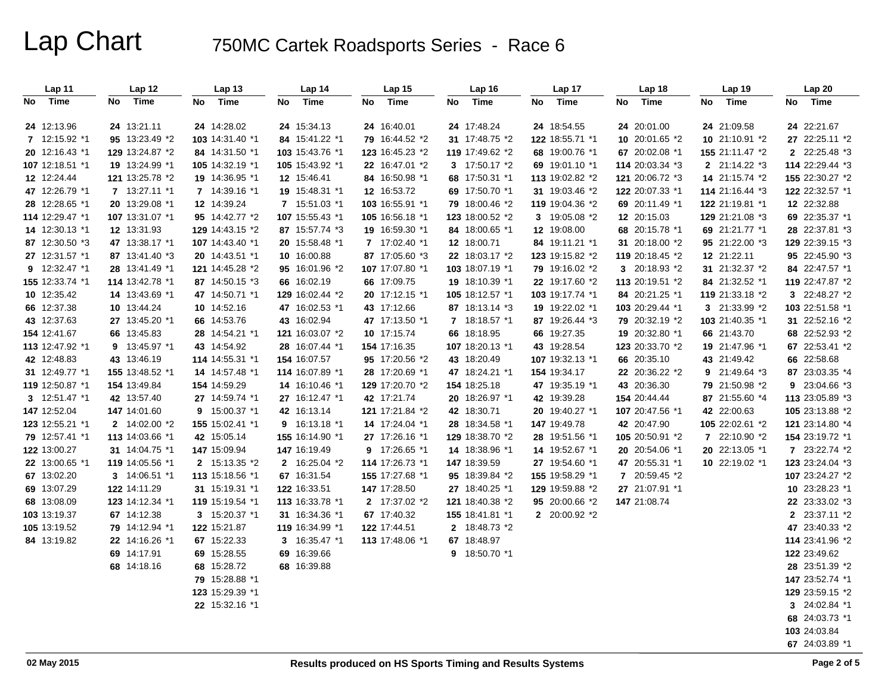| Lap 11          | Lap 12          | Lap <sub>13</sub> | Lap 14            | Lap <sub>15</sub> | Lap 16          | Lap 17          | Lap 18          | Lap <sub>19</sub> | Lap 20          |
|-----------------|-----------------|-------------------|-------------------|-------------------|-----------------|-----------------|-----------------|-------------------|-----------------|
| No Time         | Time<br>No      | No<br>Time        | No<br>Time        | No<br>Time        | Time<br>No      | No<br>Time      | Time<br>No      | Time<br>No        | Time<br>No      |
|                 |                 |                   |                   |                   |                 |                 |                 |                   |                 |
| 24 12:13.96     | 24 13:21.11     | 24 14:28.02       | 24 15:34.13       | 24 16:40.01       | 24 17:48.24     | 24 18:54.55     | 24 20:01.00     | 24 21:09.58       | 24 22:21.67     |
| 7 12:15.92 *1   | 95 13:23.49 *2  | 103 14:31.40 *1   | 84 15:41.22 *1    | 79 16:44.52 *2    | 31 17:48.75 *2  | 122 18:55.71 *1 | 10 20:01.65 *2  | 10 21:10.91 *2    | 27 22:25.11 *2  |
| 20 12:16.43 *1  | 129 13:24.87 *2 | 84 14:31.50 *1    | 103 15:43.76 *1   | 123 16:45.23 *2   | 119 17:49.62 *2 | 68 19:00.76 *1  | 67 20:02.08 *1  | 155 21:11.47 *2   | 2 22:25.48 *3   |
| 107 12:18.51 *1 | 19 13:24.99 *1  | 105 14:32.19 *1   | 105 15:43.92 *1   | 22 16:47.01 *2    | 3 17:50.17 *2   | 69 19:01.10 *1  | 114 20:03.34 *3 | 2 21:14.22 *3     | 114 22:29.44 *3 |
| 12 12:24.44     | 121 13:25.78 *2 | 19 14:36.95 *1    | 12 15:46.41       | 84 16:50.98 *1    | 68 17:50.31 *1  | 113 19:02.82 *2 | 121 20:06.72 *3 | 14 21:15.74 *2    | 155 22:30.27 *2 |
| 47 12:26.79 *1  | 7 13:27.11 *1   | 7 14:39.16 *1     | 19 15:48.31 *1    | 12 16:53.72       | 69 17:50.70 *1  | 31 19:03.46 *2  | 122 20:07.33 *1 | 114 21:16.44 *3   | 122 22:32.57 *1 |
| 28 12:28.65 *1  | 20 13:29.08 *1  | 12 14:39.24       | 7 15:51.03 *1     | 103 16:55.91 *1   | 79 18:00.46 *2  | 119 19:04.36 *2 | 69 20:11.49 *1  | 122 21:19.81 *1   | 12 22:32.88     |
| 114 12:29.47 *1 | 107 13:31.07 *1 | 95 14:42.77 *2    | 107 15:55.43 *1   | 105 16:56.18 *1   | 123 18:00.52 *2 | 3 19:05.08 *2   | 12 20:15.03     | 129 21:21.08 *3   | 69 22:35.37 *1  |
| 14 12:30.13 *1  | 12 13:31.93     | 129 14:43.15 *2   | 87 15:57.74 *3    | 19 16:59.30 *1    | 84 18:00.65 *1  | 12 19:08.00     | 68 20:15.78 *1  | 69 21:21.77 *1    | 28 22:37.81 *3  |
| 87 12:30.50 *3  | 47 13:38.17 *1  | 107 14:43.40 *1   | 20 15:58.48 *1    | 7 17:02.40 *1     | 12 18:00.71     | 84 19:11.21 *1  | 31 20:18.00 *2  | 95 21:22.00 *3    | 129 22:39.15 *3 |
| 27 12:31.57 *1  | 87 13:41.40 *3  | 20 14:43.51 *1    | 10 16:00.88       | 87 17:05.60 *3    | 22 18:03.17 *2  | 123 19:15.82 *2 | 119 20:18.45 *2 | 12 21:22.11       | 95 22:45.90 *3  |
| 9 12:32.47 *1   | 28 13:41.49 *1  | 121 14:45.28 *2   | 95 16:01.96 *2    | 107 17:07.80 *1   | 103 18:07.19 *1 | 79 19:16.02 *2  | 3 20:18.93 *2   | 31 21:32.37 *2    | 84 22:47.57 *1  |
| 155 12:33.74 *1 | 114 13:42.78 *1 | 87 14:50.15 *3    | 66 16:02.19       | 66 17:09.75       | 19 18:10.39 *1  | 22 19:17.60 *2  | 113 20:19.51 *2 | 84 21:32.52 *1    | 119 22:47.87 *2 |
| 10 12:35.42     | 14 13:43.69 *1  | 47 14:50.71 *1    | 129 16:02.44 *2   | 20 17:12.15 *1    | 105 18:12.57 *1 | 103 19:17.74 *1 | 84 20:21.25 *1  | 119 21:33.18 *2   | 3 22:48.27 *2   |
| 66 12:37.38     | 10 13:44.24     | 10 14:52.16       | 47 16:02.53 *1    | 43 17:12.66       | 87 18:13.14 *3  | 19 19:22.02 *1  | 103 20:29.44 *1 | 3 21:33.99 *2     | 103 22:51.58 *1 |
| 43 12:37.63     | 27 13:45.20 *1  | 66 14:53.76       | 43 16:02.94       | 47 17:13.50 *1    | 7 18:18.57 *1   | 87 19:26.44 *3  | 79 20:32.19 *2  | 103 21:40.35 *1   | 31 22:52.16 *2  |
| 154 12:41.67    | 66 13:45.83     | 28 14:54.21 *1    | 121 16:03.07 *2   | 10 17:15.74       | 66 18:18.95     | 66 19:27.35     | 19 20:32.80 *1  | 66 21:43.70       | 68 22:52.93 *2  |
| 113 12:47.92 *1 | 9 13:45.97 *1   | 43 14:54.92       | 28 16:07.44 *1    | 154 17:16.35      | 107 18:20.13 *1 | 43 19:28.54     | 123 20:33.70 *2 | 19 21:47.96 *1    | 67 22:53.41 *2  |
| 42 12:48.83     | 43 13:46.19     | 114 14:55.31 *1   | 154 16:07.57      | 95 17:20.56 *2    | 43 18:20.49     | 107 19:32.13 *1 | 66 20:35.10     | 43 21:49.42       | 66 22:58.68     |
| 31 12:49.77 *1  | 155 13:48.52 *1 | 14 14:57.48 *1    | 114 16:07.89 *1   | 28 17:20.69 *1    | 47 18:24.21 *1  | 154 19:34.17    | 22 20:36.22 *2  | $9$ 21:49.64 $*3$ | 87 23:03.35 *4  |
| 119 12:50.87 *1 | 154 13:49.84    | 154 14:59.29      | 14 16:10.46 *1    | 129 17:20.70 *2   | 154 18:25.18    | 47 19:35.19 *1  | 43 20:36.30     | 79 21:50.98 *2    | 9 23:04.66 *3   |
| 3 12:51.47 *1   | 42 13:57.40     | 27 14:59.74 *1    | 27 16:12.47 *1    | 42 17:21.74       | 20 18:26.97 *1  | 42 19:39.28     | 154 20:44.44    | 87 21:55.60 *4    | 113 23:05.89 *3 |
| 147 12:52.04    | 147 14:01.60    | 9 15:00.37 *1     | 42 16:13.14       | 121 17:21.84 *2   | 42 18:30.71     | 20 19:40.27 *1  | 107 20:47.56 *1 | 42 22:00.63       | 105 23:13.88 *2 |
| 123 12:55.21 *1 | 2 14:02.00 *2   | 155 15:02.41 *1   | $9$ 16:13.18 $*1$ | 14 17:24.04 *1    | 28 18:34.58 *1  | 147 19:49.78    | 42 20:47.90     | 105 22:02.61 *2   | 121 23:14.80 *4 |
| 79 12:57.41 *1  | 113 14:03.66 *1 | 42 15:05.14       | 155 16:14.90 *1   | 27 17:26.16 *1    | 129 18:38.70 *2 | 28 19:51.56 *1  | 105 20:50.91 *2 | 7 22:10.90 *2     | 154 23:19.72 *1 |
| 122 13:00.27    | 31 14:04.75 *1  | 147 15:09.94      | 147 16:19.49      | 9 17:26.65 *1     | 14 18:38.96 *1  | 14 19:52.67 *1  | 20 20:54.06 *1  | 20 22:13.05 *1    | 7 23:22.74 *2   |
| 22 13:00.65 *1  | 119 14:05.56 *1 | 2 15:13.35 *2     | 2 16:25.04 *2     | 114 17:26.73 *1   | 147 18:39.59    | 27 19:54.60 *1  | 47 20:55.31 *1  | 10 22:19.02 *1    | 123 23:24.04 *3 |
| 67 13:02.20     | 3 14:06.51 *1   | 113 15:18.56 *1   | 67 16:31.54       | 155 17:27.68 *1   | 95 18:39.84 *2  | 155 19:58.29 *1 | 7 20:59.45 *2   |                   | 107 23:24.27 *2 |
| 69 13:07.29     | 122 14:11.29    | 31 15:19.31 *1    | 122 16:33.51      | 147 17:28.50      | 27 18:40.25 *1  | 129 19:59.88 *2 | 27 21:07.91 *1  |                   | 10 23:28.23 *1  |
| 68 13:08.09     | 123 14:12.34 *1 | 119 15:19.54 *1   | 113 16:33.78 *1   | 2 17:37.02 *2     | 121 18:40.38 *2 | 95 20:00.66 *2  | 147 21:08.74    |                   | 22 23:33.02 *3  |
| 103 13:19.37    | 67 14:12.38     | 3 15:20.37 *1     | 31 16:34.36 *1    | 67 17:40.32       | 155 18:41.81 *1 | 2 20:00.92 *2   |                 |                   | 2 23:37.11 *2   |
| 105 13:19.52    | 79 14:12.94 *1  | 122 15:21.87      | 119 16:34.99 *1   | 122 17:44.51      | 2 18:48.73 *2   |                 |                 |                   | 47 23:40.33 *2  |
| 84 13:19.82     | 22 14:16.26 *1  | 67 15:22.33       | 3 16:35.47 *1     | 113 17:48.06 *1   | 67 18:48.97     |                 |                 |                   | 114 23:41.96 *2 |
|                 | 69 14:17.91     | 69 15:28.55       | 69 16:39.66       |                   | 9 18:50.70 *1   |                 |                 |                   | 122 23:49.62    |
|                 | 68 14:18.16     | 68 15:28.72       | 68 16:39.88       |                   |                 |                 |                 |                   | 28 23:51.39 *2  |
|                 |                 | 79 15:28.88 *1    |                   |                   |                 |                 |                 |                   | 147 23:52.74 *1 |
|                 |                 | 123 15:29.39 *1   |                   |                   |                 |                 |                 |                   | 129 23:59.15 *2 |
|                 |                 | 22 15:32.16 *1    |                   |                   |                 |                 |                 |                   | 3 24:02.84 *1   |
|                 |                 |                   |                   |                   |                 |                 |                 |                   | 68 24:03.73 *1  |
|                 |                 |                   |                   |                   |                 |                 |                 |                   | 103 24:03.84    |
|                 |                 |                   |                   |                   |                 |                 |                 |                   | 67 24:03.89 *1  |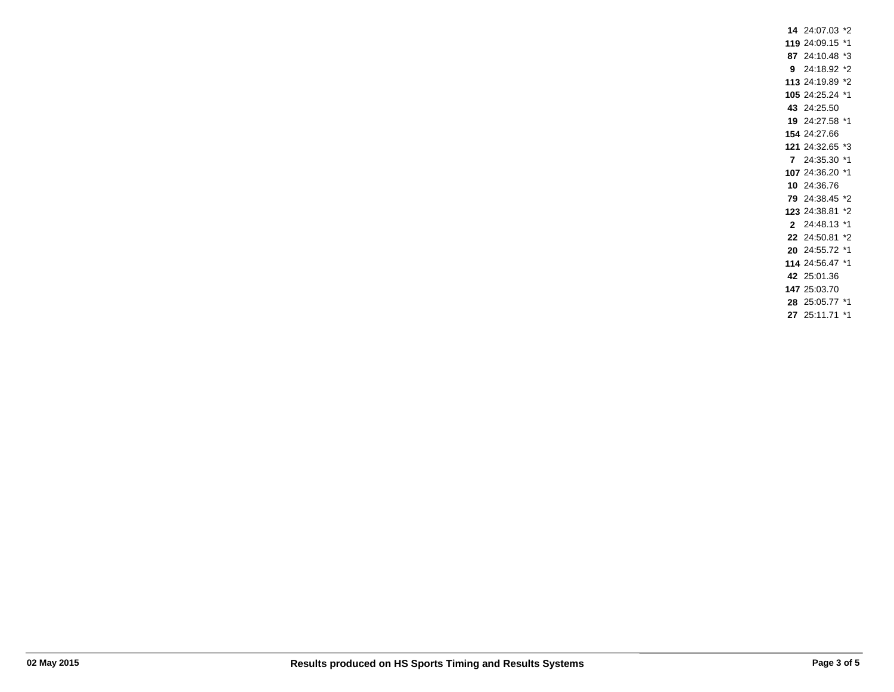24:07.03 \*2 24:09.15 \*1 24:10.48 \*3 24:18.92 \*2 24:19.89 \*2 24:25.24 \*1 24:25.50 24:27.58 \*1 24:27.66 24:32.65 \*3 24:35.30 \*1 24:36.20 \*1 24:36.76 24:38.45 \*2 24:38.81 \*2 24:48.13 \*1 24:50.81 \*2 24:55.72 \*1 24:56.47 \*1 25:01.36 25:03.70 25:05.77 \*1 25:11.71 \*1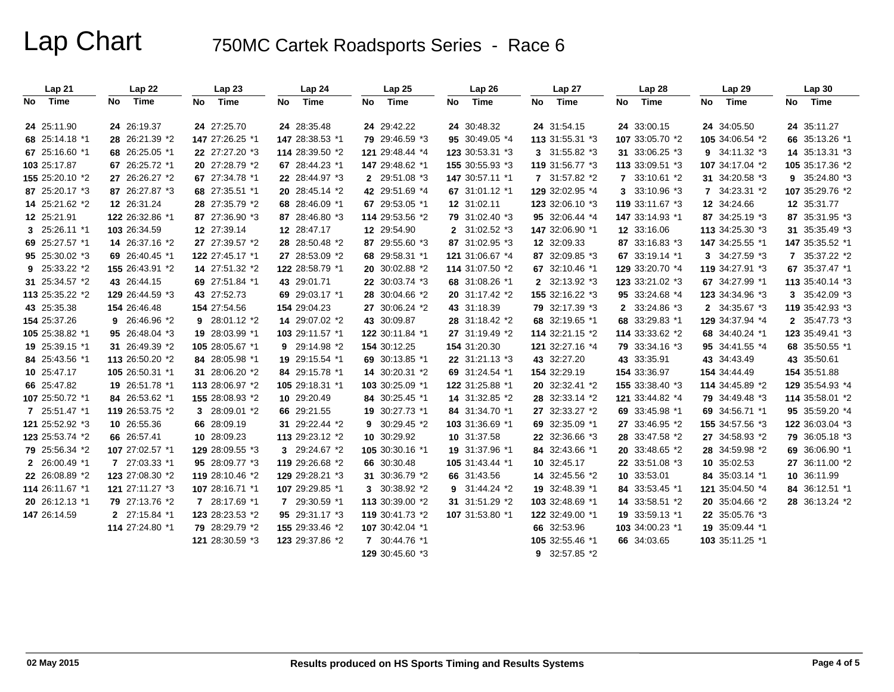| Lap 21          | Lap22           |    | Lap <sub>23</sub> |    | Lap 24          | Lap 25          | Lap 26          |    | Lap 27          |    | Lap 28          |    | Lap 29                       | Lap30           |
|-----------------|-----------------|----|-------------------|----|-----------------|-----------------|-----------------|----|-----------------|----|-----------------|----|------------------------------|-----------------|
| No Time         | No Time         | No | Time              | No | Time            | No Time         | No Time         | No | Time            | No | Time            | No | Time                         | No Time         |
| 24 25:11.90     | 24 26:19.37     |    | 24 27:25.70       |    | 24 28:35.48     | 24 29:42.22     | 24 30:48.32     |    | 24 31:54.15     |    | 24 33:00.15     |    | 24 34:05.50                  | 24 35:11.27     |
| 68 25:14.18 *1  | 28 26:21.39 *2  |    | 147 27:26.25 *1   |    | 147 28:38.53 *1 | 79 29:46.59 *3  | 95 30:49.05 *4  |    | 113 31:55.31 *3 |    | 107 33:05.70 *2 |    | 105 34:06.54 *2              | 66 35:13.26 *1  |
| 67 25:16.60 *1  | 68 26:25.05 *1  |    | 22 27:27.20 *3    |    | 114 28:39.50 *2 | 121 29:48.44 *4 | 123 30:53.31 *3 |    | 3 31:55.82 *3   |    | 31 33:06.25 *3  |    | 9 34:11.32 *3                | 14 35:13.31 *3  |
| 103 25:17.87    | 67 26:25.72 *1  |    | 20 27:28.79 *2    |    | 67 28:44.23 *1  | 147 29:48.62 *1 | 155 30:55.93 *3 |    | 119 31:56.77 *3 |    | 113 33:09.51 *3 |    | 107 34:17.04 *2              | 105 35:17.36 *2 |
| 155 25:20.10 *2 | 27 26:26.27 *2  |    | 67 27:34.78 *1    |    | 22 28:44.97 *3  | 2 29:51.08 *3   | 147 30:57.11 *1 |    | 7 31:57.82 *2   |    | 7 33:10.61 *2   |    | 31 34:20.58 *3               | 9 35:24.80 *3   |
| 87 25:20.17 *3  | 87 26:27.87 *3  |    | 68 27:35.51 *1    |    | 20 28:45.14 *2  | 42 29:51.69 *4  | 67 31:01.12 *1  |    | 129 32:02.95 *4 |    | 3 33:10.96 *3   |    | $7 \quad 34:23.31 \quad ^*2$ | 107 35:29.76 *2 |
| 14 25:21.62 *2  | 12 26:31.24     |    | 28 27:35.79 *2    |    | 68 28:46.09 *1  | 67 29:53.05 *1  | 12 31:02.11     |    | 123 32:06.10 *3 |    | 119 33:11.67 *3 |    | 12 34:24.66                  | 12 35:31.77     |
| 12 25:21.91     | 122 26:32.86 *1 |    | 87 27:36.90 *3    |    | 87 28:46.80 *3  | 114 29:53.56 *2 | 79 31:02.40 *3  |    | 95 32:06.44 *4  |    | 147 33:14.93 *1 |    | 87 34:25.19 *3               | 87 35:31.95 *3  |
| 3 25:26.11 *1   | 103 26:34.59    |    | 12 27:39.14       |    | 12 28:47.17     | 12 29:54.90     | 2 31:02.52 *3   |    | 147 32:06.90 *1 |    | 12 33:16.06     |    | 113 34:25.30 *3              | 31 35:35.49 *3  |
| 69 25:27.57 *1  | 14 26:37.16 *2  |    | 27 27:39.57 *2    |    | 28 28:50.48 *2  | 87 29:55.60 *3  | 87 31:02.95 *3  |    | 12 32:09.33     |    | 87 33:16.83 *3  |    | 147 34:25.55 *1              | 147 35:35.52 *1 |
| 95 25:30.02 *3  | 69 26:40.45 *1  |    | 122 27:45.17 *1   |    | 27 28:53.09 *2  | 68 29:58.31 *1  | 121 31:06.67 *4 |    | 87 32:09.85 *3  |    | 67 33:19.14 *1  |    | 3 34:27.59 *3                | 7 35:37.22 *2   |
| 9 25:33.22 *2   | 155 26:43.91 *2 |    | 14 27:51.32 *2    |    | 122 28:58.79 *1 | 20 30:02.88 *2  | 114 31:07.50 *2 |    | 67 32:10.46 *1  |    | 129 33:20.70 *4 |    | 119 34:27.91 *3              | 67 35:37.47 *1  |
| 31 25:34.57 *2  | 43 26:44.15     |    | 69 27:51.84 *1    |    | 43 29:01.71     | 22 30:03.74 *3  | 68 31:08.26 *1  |    | 2 32:13.92 *3   |    | 123 33:21.02 *3 |    | 67 34:27.99 *1               | 113 35:40.14 *3 |
| 113 25:35.22 *2 | 129 26:44.59 *3 |    | 43 27:52.73       |    | 69 29:03.17 *1  | 28 30:04.66 *2  | 20 31:17.42 *2  |    | 155 32:16.22 *3 |    | 95 33:24.68 *4  |    | 123 34:34.96 *3              | 3 35:42.09 *3   |
| 43 25:35.38     | 154 26:46.48    |    | 154 27:54.56      |    | 154 29:04.23    | 27 30:06.24 *2  | 43 31:18.39     |    | 79 32:17.39 *3  |    | 2 33:24.86 *3   |    | 2 34:35.67 *3                | 119 35:42.93 *3 |
| 154 25:37.26    | 9 26:46.96 *2   |    | $9$ 28:01.12 $*2$ |    | 14 29:07.02 *2  | 43 30:09.87     | 28 31:18.42 *2  |    | 68 32:19.65 *1  |    | 68 33:29.83 *1  |    | 129 34:37.94 *4              | 2 35:47.73 *3   |
| 105 25:38.82 *1 | 95 26:48.04 *3  |    | 19 28:03.99 *1    |    | 103 29:11.57 *1 | 122 30:11.84 *1 | 27 31:19.49 *2  |    | 114 32:21.15 *2 |    | 114 33:33.62 *2 |    | 68 34:40.24 *1               | 123 35:49.41 *3 |
| 19 25:39.15 *1  | 31 26:49.39 *2  |    | 105 28:05.67 *1   |    | 9 29:14.98 *2   | 154 30:12.25    | 154 31:20.30    |    | 121 32:27.16 *4 |    | 79 33:34.16 *3  |    | 95 34:41.55 *4               | 68 35:50.55 *1  |
| 84 25:43.56 *1  | 113 26:50.20 *2 |    | 84 28:05.98 *1    |    | 19 29:15.54 *1  | 69 30:13.85 *1  | 22 31:21.13 *3  |    | 43 32:27.20     |    | 43 33:35.91     |    | 43 34:43.49                  | 43 35:50.61     |
| 10 25:47.17     | 105 26:50.31 *1 |    | 31 28:06.20 *2    |    | 84 29:15.78 *1  | 14 30:20.31 *2  | 69 31:24.54 *1  |    | 154 32:29.19    |    | 154 33:36.97    |    | 154 34:44.49                 | 154 35:51.88    |
| 66 25:47.82     | 19 26:51.78 *1  |    | 113 28:06.97 *2   |    | 105 29:18.31 *1 | 103 30:25.09 *1 | 122 31:25.88 *1 |    | 20 32:32.41 *2  |    | 155 33:38.40 *3 |    | 114 34:45.89 *2              | 129 35:54.93 *4 |
| 107 25:50.72 *1 | 84 26:53.62 *1  |    | 155 28:08.93 *2   |    | 10 29:20.49     | 84 30:25.45 *1  | 14 31:32.85 *2  |    | 28 32:33.14 *2  |    | 121 33:44.82 *4 |    | 79 34:49.48 *3               | 114 35:58.01 *2 |
| 7 25:51.47 *1   | 119 26:53.75 *2 |    | 3 28:09.01 *2     |    | 66 29:21.55     | 19 30:27.73 *1  | 84 31:34.70 *1  |    | 27 32:33.27 *2  |    | 69 33:45.98 *1  |    | 69 34:56.71 *1               | 95 35:59.20 *4  |
| 121 25:52.92 *3 | 10 26:55.36     |    | 66 28:09.19       |    | 31 29:22.44 *2  | 9 30:29.45 *2   | 103 31:36.69 *1 |    | 69 32:35.09 *1  |    | 27 33:46.95 *2  |    | 155 34:57.56 *3              | 122 36:03.04 *3 |
| 123 25:53.74 *2 | 66 26:57.41     |    | 10 28:09.23       |    | 113 29:23.12 *2 | 10 30:29.92     | 10 31:37.58     |    | 22 32:36.66 *3  |    | 28 33:47.58 *2  |    | 27 34:58.93 *2               | 79 36:05.18 *3  |
| 79 25:56.34 *2  | 107 27:02.57 *1 |    | 129 28:09.55 *3   |    | 3 29:24.67 *2   | 105 30:30.16 *1 | 19 31:37.96 *1  |    | 84 32:43.66 *1  |    | 20 33:48.65 *2  |    | 28 34:59.98 *2               | 69 36:06.90 *1  |
| 2 26:00.49 *1   | 7 27:03.33 *1   |    | 95 28:09.77 *3    |    | 119 29:26.68 *2 | 66 30:30.48     | 105 31:43.44 *1 |    | 10 32:45.17     |    | 22 33:51.08 *3  |    | 10 35:02.53                  | 27 36:11.00 *2  |
| 22 26:08.89 *2  | 123 27:08.30 *2 |    | 119 28:10.46 *2   |    | 129 29:28.21 *3 | 31 30:36.79 *2  | 66 31:43.56     |    | 14 32:45.56 *2  |    | 10 33:53.01     |    | 84 35:03.14 *1               | 10 36:11.99     |
| 114 26:11.67 *1 | 121 27:11.27 *3 |    | 107 28:16.71 *1   |    | 107 29:29.85 *1 | 3 30:38.92 *2   | 9 31:44.24 *2   |    | 19 32:48.39 *1  |    | 84 33:53.45 *1  |    | 121 35:04.50 *4              | 84 36:12.51 *1  |
| 20 26:12.13 *1  | 79 27:13.76 *2  |    | 7 28:17.69 *1     |    | 7 29:30.59 *1   | 113 30:39.00 *2 | 31 31:51.29 *2  |    | 103 32:48.69 *1 |    | 14 33:58.51 *2  |    | 20 35:04.66 *2               | 28 36:13.24 *2  |
| 147 26:14.59    | 2 27:15.84 *1   |    | 123 28:23.53 *2   |    | 95 29:31.17 *3  | 119 30:41.73 *2 | 107 31:53.80 *1 |    | 122 32:49.00 *1 |    | 19 33:59.13 *1  |    | 22 35:05.76 *3               |                 |
|                 | 114 27:24.80 *1 |    | 79 28:29.79 *2    |    | 155 29:33.46 *2 | 107 30:42.04 *1 |                 |    | 66 32:53.96     |    | 103 34:00.23 *1 |    | 19 35:09.44 *1               |                 |
|                 |                 |    | 121 28:30.59 *3   |    | 123 29:37.86 *2 | 7 30:44.76 *1   |                 |    | 105 32:55.46 *1 |    | 66 34:03.65     |    | 103 35:11.25 *1              |                 |
|                 |                 |    |                   |    |                 | 129 30:45.60 *3 |                 |    | 9 $32:57.85*2$  |    |                 |    |                              |                 |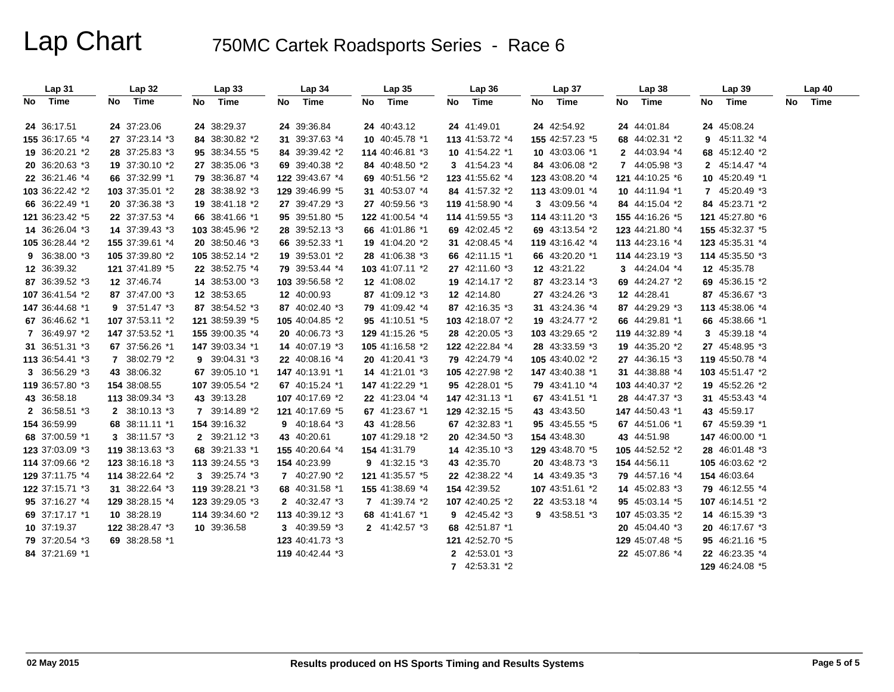| Lap 31          | <b>Lap 32</b>   | Lap33           | Lap <sub>34</sub> | Lap35           | Lap36           | Lap 37          | <b>Lap 38</b>   | Lap39           | <b>Lap 40</b> |
|-----------------|-----------------|-----------------|-------------------|-----------------|-----------------|-----------------|-----------------|-----------------|---------------|
| Time<br>No      | Time<br>No.     | Time<br>No      | No<br>Time        | No<br>Time      | No<br>Time      | Time<br>No      | Time<br>No      | Time<br>No      | Time<br>No.   |
| 24 36:17.51     | 24 37:23.06     | 24 38:29.37     | 24 39:36.84       | 24 40:43.12     | 24 41:49.01     | 24 42:54.92     | 24 44:01.84     | 24 45:08.24     |               |
| 155 36:17.65 *4 | 27 37:23.14 *3  | 84 38:30.82 *2  | 31 39:37.63 *4    | 10 40:45.78 *1  | 113 41:53.72 *4 | 155 42:57.23 *5 | 68 44:02.31 *2  | 9 45:11.32 *4   |               |
| 19 36:20.21 *2  | 28 37:25.83 *3  | 95 38:34.55 *5  | 84 39:39.42 *2    | 114 40:46.81 *3 | 10 41:54.22 *1  | 10 43:03.06 *1  | 2 44:03.94 *4   | 68 45:12.40 *2  |               |
| 20 36:20.63 *3  | 19 37:30.10 *2  | 27 38:35.06 *3  | 69 39:40.38 *2    | 84 40:48.50 *2  | 3 41:54.23 *4   | 84 43:06.08 *2  | 7 44:05.98 *3   | 2 45:14.47 *4   |               |
| 22 36:21.46 *4  | 66 37:32.99 *1  | 79 38:36.87 *4  | 122 39:43.67 *4   | 69 40:51.56 *2  | 123 41:55.62 *4 | 123 43:08.20 *4 | 121 44:10.25 *6 | 10 45:20.49 *1  |               |
| 103 36:22.42 *2 | 103 37:35.01 *2 | 28 38:38.92 *3  | 129 39:46.99 *5   | 31 40:53.07 *4  | 84 41:57.32 *2  | 113 43:09.01 *4 | 10 44:11.94 *1  | 7 45:20.49 *3   |               |
| 66 36:22.49 *1  | 20 37:36.38 *3  | 19 38:41.18 *2  | 27 39:47.29 *3    | 27 40:59.56 *3  | 119 41:58.90 *4 | 3 43:09.56 *4   | 84 44:15.04 *2  | 84 45:23.71 *2  |               |
| 121 36:23.42 *5 | 22 37:37.53 *4  | 66 38:41.66 *1  | 95 39:51.80 *5    | 122 41:00.54 *4 | 114 41:59.55 *3 | 114 43:11.20 *3 | 155 44:16.26 *5 | 121 45:27.80 *6 |               |
| 14 36:26.04 *3  | 14 37:39.43 *3  | 103 38:45.96 *2 | 28 39:52.13 *3    | 66 41:01.86 *1  | 69 42:02.45 *2  | 69 43:13.54 *2  | 123 44:21.80 *4 | 155 45:32.37 *5 |               |
| 105 36:28.44 *2 | 155 37:39.61 *4 | 20 38:50.46 *3  | 66 39:52.33 *1    | 19 41:04.20 *2  | 31 42:08.45 *4  | 119 43:16.42 *4 | 113 44:23.16 *4 | 123 45:35.31 *4 |               |
| 9 36:38.00 *3   | 105 37:39.80 *2 | 105 38:52.14 *2 | 19 39:53.01 *2    | 28 41:06.38 *3  | 66 42:11.15 *1  | 66 43:20.20 *1  | 114 44:23.19 *3 | 114 45:35.50 *3 |               |
| 12 36:39.32     | 121 37:41.89 *5 | 22 38:52.75 *4  | 79 39:53.44 *4    | 103 41:07.11 *2 | 27 42:11.60 *3  | 12 43:21.22     | 3 44:24.04 *4   | 12 45:35.78     |               |
| 87 36:39.52 *3  | 12 37:46.74     | 14 38:53.00 *3  | 103 39:56.58 *2   | 12 41:08.02     | 19 42:14.17 *2  | 87 43:23.14 *3  | 69 44:24.27 *2  | 69 45:36.15 *2  |               |
| 107 36:41.54 *2 | 87 37:47.00 *3  | 12 38:53.65     | 12 40:00.93       | 87 41:09.12 *3  | 12 42:14.80     | 27 43:24.26 *3  | 12 44:28.41     | 87 45:36.67 *3  |               |
| 147 36:44.68 *1 | 9 37:51.47 *3   | 87 38:54.52 *3  | 87 40:02.40 *3    | 79 41:09.42 *4  | 87 42:16.35 *3  | 31 43:24.36 *4  | 87 44:29.29 *3  | 113 45:38.06 *4 |               |
| 67 36:46.62 *1  | 107 37:53.11 *2 | 121 38:59.39 *5 | 105 40:04.85 *2   | 95 41:10.51 *5  | 103 42:18.07 *2 | 19 43:24.77 *2  | 66 44:29.81 *1  | 66 45:38.66 *1  |               |
| 7 36:49.97 *2   | 147 37:53.52 *1 | 155 39:00.35 *4 | 20 40:06.73 *3    | 129 41:15.26 *5 | 28 42:20.05 *3  | 103 43:29.65 *2 | 119 44:32.89 *4 | 3 45:39.18 *4   |               |
| 31 36:51.31 *3  | 67 37:56.26 *1  | 147 39:03.34 *1 | 14 40:07.19 *3    | 105 41:16.58 *2 | 122 42:22.84 *4 | 28 43:33.59 *3  | 19 44:35.20 *2  | 27 45:48.95 *3  |               |
| 113 36:54.41 *3 | 7 38:02.79 *2   | 9 39:04.31 *3   | 22 40:08.16 *4    | 20 41:20.41 *3  | 79 42:24.79 *4  | 105 43:40.02 *2 | 27 44:36.15 *3  | 119 45:50.78 *4 |               |
| 3 36:56.29 *3   | 43 38:06.32     | 67 39:05.10 *1  | 147 40:13.91 *1   | 14 41:21.01 *3  | 105 42:27.98 *2 | 147 43:40.38 *1 | 31 44:38.88 *4  | 103 45:51.47 *2 |               |
| 119 36:57.80 *3 | 154 38:08.55    | 107 39:05.54 *2 | 67 40:15.24 *1    | 147 41:22.29 *1 | 95 42:28.01 *5  | 79 43:41.10 *4  | 103 44:40.37 *2 | 19 45:52.26 *2  |               |
| 43 36:58.18     | 113 38:09.34 *3 | 43 39:13.28     | 107 40:17.69 *2   | 22 41:23.04 *4  | 147 42:31.13 *1 | 67 43:41.51 *1  | 28 44:47.37 *3  | 31 45:53.43 *4  |               |
| 2 36:58.51 *3   | 2 38:10.13 *3   | 7 39:14.89 *2   | 121 40:17.69 *5   | 67 41:23.67 *1  | 129 42:32.15 *5 | 43 43:43.50     | 147 44:50.43 *1 | 43 45:59.17     |               |
| 154 36:59.99    | 68 38:11.11 *1  | 154 39:16.32    | 9 $40:18.64*3$    | 43 41:28.56     | 67 42:32.83 *1  | 95 43:45.55 *5  | 67 44:51.06 *1  | 67 45:59.39 *1  |               |
| 68 37:00.59 *1  | 3 38:11.57 *3   | 2 39:21.12 *3   | 43 40:20.61       | 107 41:29.18 *2 | 20 42:34.50 *3  | 154 43:48.30    | 43 44:51.98     | 147 46:00.00 *1 |               |
| 123 37:03.09 *3 | 119 38:13.63 *3 | 68 39:21.33 *1  | 155 40:20.64 *4   | 154 41:31.79    | 14 42:35.10 *3  | 129 43:48.70 *5 | 105 44:52.52 *2 | 28 46:01.48 *3  |               |
| 114 37:09.66 *2 | 123 38:16.18 *3 | 113 39:24.55 *3 | 154 40:23.99      | 9 $41:32.15*3$  | 43 42:35.70     | 20 43:48.73 *3  | 154 44:56.11    | 105 46:03.62 *2 |               |
| 129 37:11.75 *4 | 114 38:22.64 *2 | 3 39:25.74 *3   | 7 40:27.90 *2     | 121 41:35.57 *5 | 22 42:38.22 *4  | 14 43:49.35 *3  | 79 44:57.16 *4  | 154 46:03.64    |               |
| 122 37:15.71 *3 | 31 38:22.64 *3  | 119 39:28.21 *3 | 68 40:31.58 *1    | 155 41:38.69 *4 | 154 42:39.52    | 107 43:51.61 *2 | 14 45:02.83 *3  | 79 46:12.55 *4  |               |
| 95 37:16.27 *4  | 129 38:28.15 *4 | 123 39:29.05 *3 | 2 40:32.47 *3     | 7 41:39.74 *2   | 107 42:40.25 *2 | 22 43:53.18 *4  | 95 45:03.14 *5  | 107 46:14.51 *2 |               |
| 69 37:17.17 *1  | 10 38:28.19     | 114 39:34.60 *2 | 113 40:39.12 *3   | 68 41:41.67 *1  | 9 42:45.42 *3   | 9 43:58.51 *3   | 107 45:03.35 *2 | 14 46:15.39 *3  |               |
| 10 37:19.37     | 122 38:28.47 *3 | 10 39:36.58     | 3 40:39.59 *3     | 2 41:42.57 *3   | 68 42:51.87 *1  |                 | 20 45:04.40 *3  | 20 46:17.67 *3  |               |
| 79 37:20.54 *3  | 69 38:28.58 *1  |                 | 123 40:41.73 *3   |                 | 121 42:52.70 *5 |                 | 129 45:07.48 *5 | 95 46:21.16 *5  |               |
| 84 37:21.69 *1  |                 |                 | 119 40:42.44 *3   |                 | 2 42:53.01 *3   |                 | 22 45:07.86 *4  | 22 46:23.35 *4  |               |
|                 |                 |                 |                   |                 | 7 42:53.31 *2   |                 |                 | 129 46:24.08 *5 |               |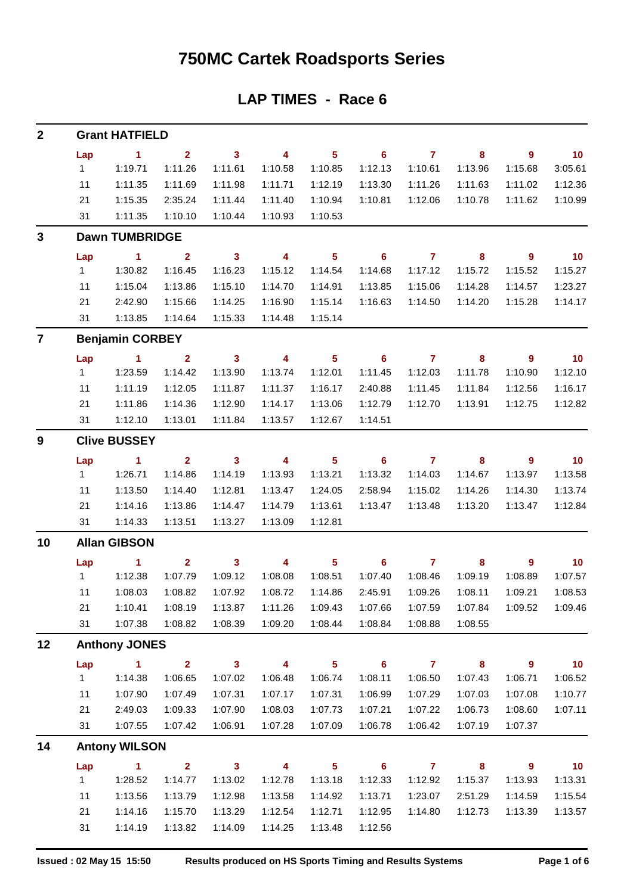### **750MC Cartek Roadsports Series**

#### **LAP TIMES - Race 6**

| $\mathbf{2}$   |                | <b>Grant HATFIELD</b>  |                         |                         |                          |                            |                            |                |         |                |                   |  |  |  |  |
|----------------|----------------|------------------------|-------------------------|-------------------------|--------------------------|----------------------------|----------------------------|----------------|---------|----------------|-------------------|--|--|--|--|
|                | Lap            | $\sim$ 1               | $\overline{2}$          | $\mathbf{3}$            | $\overline{4}$           | 5 <sub>5</sub>             | $\overline{\phantom{0}}$ 6 | $\overline{7}$ | 8       | 9              | $\blacksquare$ 10 |  |  |  |  |
|                | 1              | 1:19.71                | 1:11.26                 | 1:11.61                 | 1:10.58                  | 1:10.85                    | 1:12.13                    | 1:10.61        | 1:13.96 | 1:15.68        | 3:05.61           |  |  |  |  |
|                | 11             | 1:11.35                | 1:11.69                 | 1:11.98                 | 1:11.71                  | 1:12.19                    | 1:13.30                    | 1:11.26        | 1:11.63 | 1:11.02        | 1:12.36           |  |  |  |  |
|                | 21             | 1:15.35                | 2:35.24                 | 1:11.44                 | 1:11.40                  | 1:10.94                    | 1:10.81                    | 1:12.06        | 1:10.78 | 1:11.62        | 1:10.99           |  |  |  |  |
|                | 31             | 1:11.35                | 1:10.10                 | 1:10.44                 | 1:10.93                  | 1:10.53                    |                            |                |         |                |                   |  |  |  |  |
| 3              |                | <b>Dawn TUMBRIDGE</b>  |                         |                         |                          |                            |                            |                |         |                |                   |  |  |  |  |
|                | Lap            | $\sim$ 1               | $\overline{2}$          | $\mathbf{3}$            | $\overline{\phantom{a}}$ | $\overline{\phantom{0}}$ 5 | $\overline{\phantom{0}}$ 6 | $\overline{7}$ | 8       | 9              | $\overline{10}$   |  |  |  |  |
|                | 1              | 1:30.82                | 1:16.45                 | 1:16.23                 | 1:15.12                  | 1:14.54                    | 1:14.68                    | 1:17.12        | 1:15.72 | 1:15.52        | 1:15.27           |  |  |  |  |
|                | 11             | 1:15.04                | 1:13.86                 | 1:15.10                 | 1:14.70                  | 1:14.91                    | 1:13.85                    | 1:15.06        | 1:14.28 | 1:14.57        | 1:23.27           |  |  |  |  |
|                | 21             | 2:42.90                | 1:15.66                 | 1:14.25                 | 1:16.90                  | 1:15.14                    | 1:16.63                    | 1:14.50        | 1:14.20 | 1:15.28        | 1:14.17           |  |  |  |  |
|                | 31             | 1:13.85                | 1:14.64                 | 1:15.33                 | 1:14.48                  | 1:15.14                    |                            |                |         |                |                   |  |  |  |  |
| $\overline{7}$ |                | <b>Benjamin CORBEY</b> |                         |                         |                          |                            |                            |                |         |                |                   |  |  |  |  |
|                | Lap            | $\blacksquare$ 1       | $\overline{2}$          | $\mathbf{3}$            | $\overline{\mathbf{4}}$  | 5 <sub>5</sub>             | $\overline{\phantom{0}}$ 6 | $\overline{7}$ | 8       | $\overline{9}$ | $\overline{10}$   |  |  |  |  |
|                | 1              | 1:23.59                | 1:14.42                 | 1:13.90                 | 1:13.74                  | 1:12.01                    | 1:11.45                    | 1:12.03        | 1:11.78 | 1:10.90        | 1:12.10           |  |  |  |  |
|                | 11             | 1:11.19                | 1:12.05                 | 1:11.87                 | 1:11.37                  | 1:16.17                    | 2:40.88                    | 1:11.45        | 1:11.84 | 1:12.56        | 1:16.17           |  |  |  |  |
|                | 21             | 1:11.86                | 1:14.36                 | 1:12.90                 | 1:14.17                  | 1:13.06                    | 1:12.79                    | 1:12.70        | 1:13.91 | 1:12.75        | 1:12.82           |  |  |  |  |
|                | 31             | 1:12.10                | 1:13.01                 | 1:11.84                 | 1:13.57                  | 1:12.67                    | 1:14.51                    |                |         |                |                   |  |  |  |  |
| 9              |                | <b>Clive BUSSEY</b>    |                         |                         |                          |                            |                            |                |         |                |                   |  |  |  |  |
|                | Lap            | $\sim$ 1               | $\overline{2}$          | $\overline{\mathbf{3}}$ | $\overline{\phantom{a}}$ | $5\phantom{.0}$            | $\overline{\phantom{0}}$ 6 | $\overline{7}$ | 8       | $\overline{9}$ | 10                |  |  |  |  |
|                | 1              | 1:26.71                | 1:14.86                 | 1:14.19                 | 1:13.93                  | 1:13.21                    | 1:13.32                    | 1:14.03        | 1:14.67 | 1:13.97        | 1:13.58           |  |  |  |  |
|                | 11             | 1:13.50                | 1:14.40                 | 1:12.81                 | 1:13.47                  | 1:24.05                    | 2:58.94                    | 1:15.02        | 1:14.26 | 1:14.30        | 1:13.74           |  |  |  |  |
|                | 21             | 1:14.16                | 1:13.86                 | 1:14.47                 | 1:14.79                  | 1:13.61                    | 1:13.47                    | 1:13.48        | 1:13.20 | 1:13.47        | 1:12.84           |  |  |  |  |
|                | 31             | 1:14.33                | 1:13.51                 | 1:13.27                 | 1:13.09                  | 1:12.81                    |                            |                |         |                |                   |  |  |  |  |
| 10             |                | <b>Allan GIBSON</b>    |                         |                         |                          |                            |                            |                |         |                |                   |  |  |  |  |
|                | Lap            | $\blacktriangleleft$   | $\mathbf{2}$            | $\mathbf{3}$            | 4                        | 5 <sub>5</sub>             | 6                          | $\mathbf{7}$   | 8       | 9              | 10                |  |  |  |  |
|                | 1              | 1:12.38                | 1:07.79                 | 1:09.12                 | 1:08.08                  | 1:08.51                    | 1:07.40                    | 1:08.46        | 1:09.19 | 1:08.89        | 1:07.57           |  |  |  |  |
|                | 11             | 1:08.03                | 1:08.82                 | 1:07.92                 | 1:08.72                  | 1:14.86                    | 2:45.91                    | 1:09.26        | 1:08.11 | 1:09.21        | 1:08.53           |  |  |  |  |
|                | 21             | 1:10.41                | 1:08.19                 | 1:13.87                 | 1:11.26                  | 1:09.43                    | 1:07.66                    | 1:07.59        | 1:07.84 | 1:09.52        | 1:09.46           |  |  |  |  |
|                | 31             | 1:07.38                | 1:08.82                 | 1:08.39                 | 1:09.20                  | 1:08.44                    | 1:08.84                    | 1:08.88        | 1:08.55 |                |                   |  |  |  |  |
| 12             |                | <b>Anthony JONES</b>   |                         |                         |                          |                            |                            |                |         |                |                   |  |  |  |  |
|                | Lap            | $\blacktriangleleft$   | $\overline{\mathbf{2}}$ | $\mathbf{3}$            | $\overline{\mathbf{4}}$  | $\overline{\mathbf{5}}$    | $6\phantom{1}$             | $\mathbf{7}$   | 8       | 9              | 10 <sub>1</sub>   |  |  |  |  |
|                | 1              | 1:14.38                | 1:06.65                 | 1:07.02                 | 1:06.48                  | 1:06.74                    | 1:08.11                    | 1:06.50        | 1:07.43 | 1:06.71        | 1:06.52           |  |  |  |  |
|                | 11             | 1:07.90                | 1:07.49                 | 1:07.31                 | 1:07.17                  | 1:07.31                    | 1:06.99                    | 1:07.29        | 1:07.03 | 1:07.08        | 1:10.77           |  |  |  |  |
|                | 21             | 2:49.03                | 1:09.33                 | 1:07.90                 | 1:08.03                  | 1:07.73                    | 1:07.21                    | 1:07.22        | 1:06.73 | 1:08.60        | 1:07.11           |  |  |  |  |
|                | 31             | 1:07.55                | 1:07.42                 | 1:06.91                 | 1:07.28                  | 1:07.09                    | 1:06.78                    | 1:06.42        | 1:07.19 | 1:07.37        |                   |  |  |  |  |
| 14             |                | <b>Antony WILSON</b>   |                         |                         |                          |                            |                            |                |         |                |                   |  |  |  |  |
|                | Lap            | $\mathbf{1}$           | $\overline{\mathbf{2}}$ | $\overline{\mathbf{3}}$ | 4                        | $\overline{\mathbf{5}}$    | $6\phantom{1}$             | $\overline{7}$ | 8       | $\mathbf{9}$   | 10 <sub>1</sub>   |  |  |  |  |
|                | 1 <sub>1</sub> | 1:28.52                | 1:14.77                 | 1:13.02                 | 1:12.78                  | 1:13.18                    | 1:12.33                    | 1:12.92        | 1:15.37 | 1:13.93        | 1:13.31           |  |  |  |  |
|                | 11             | 1:13.56                | 1:13.79                 | 1:12.98                 | 1:13.58                  | 1:14.92                    | 1:13.71                    | 1:23.07        | 2:51.29 | 1:14.59        | 1:15.54           |  |  |  |  |
|                | 21             | 1:14.16                | 1:15.70                 | 1:13.29                 | 1:12.54                  | 1:12.71                    | 1:12.95                    | 1:14.80        | 1:12.73 | 1:13.39        | 1:13.57           |  |  |  |  |
|                | 31             | 1:14.19                | 1:13.82                 | 1:14.09                 | 1:14.25                  | 1:13.48                    | 1:12.56                    |                |         |                |                   |  |  |  |  |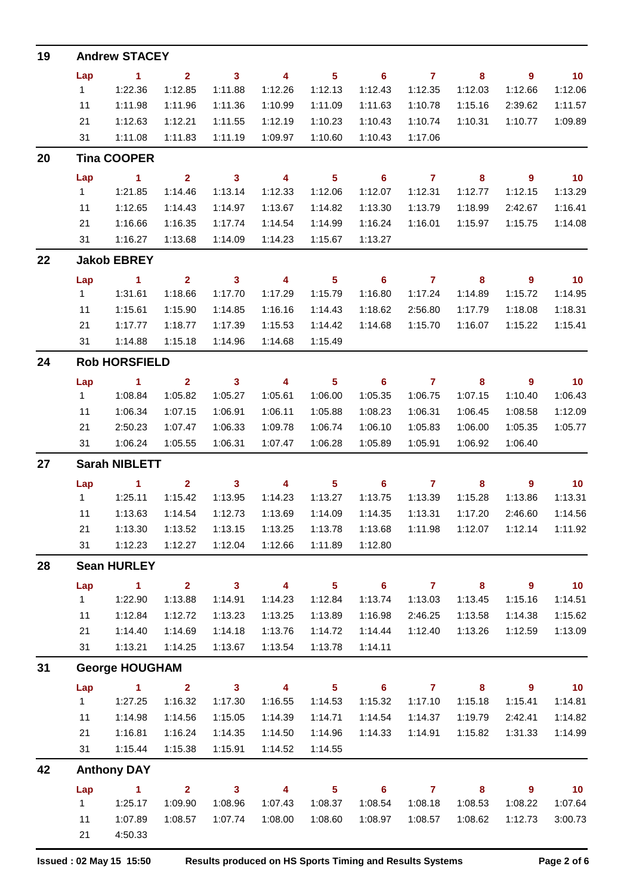| 19 |                      | <b>Andrew STACEY</b>  |                         |                         |                          |                         |                            |                |         |             |                   |  |  |  |  |
|----|----------------------|-----------------------|-------------------------|-------------------------|--------------------------|-------------------------|----------------------------|----------------|---------|-------------|-------------------|--|--|--|--|
|    | Lap                  | $\blacktriangleleft$  | $\overline{\mathbf{2}}$ | $\mathbf{3}$            | 4                        | 5 <sub>5</sub>          | $\overline{\phantom{0}}$ 6 | $\overline{7}$ | 8       | 9           | $\blacksquare$ 10 |  |  |  |  |
|    | 1                    | 1:22.36               | 1:12.85                 | 1:11.88                 | 1:12.26                  | 1:12.13                 | 1:12.43                    | 1:12.35        | 1:12.03 | 1:12.66     | 1:12.06           |  |  |  |  |
|    | 11                   | 1:11.98               | 1:11.96                 | 1:11.36                 | 1:10.99                  | 1:11.09                 | 1:11.63                    | 1:10.78        | 1:15.16 | 2:39.62     | 1:11.57           |  |  |  |  |
|    | 21                   | 1:12.63               | 1:12.21                 | 1:11.55                 | 1:12.19                  | 1:10.23                 | 1:10.43                    | 1:10.74        | 1:10.31 | 1:10.77     | 1:09.89           |  |  |  |  |
|    | 31                   | 1:11.08               | 1:11.83                 | 1:11.19                 | 1:09.97                  | 1:10.60                 | 1:10.43                    | 1:17.06        |         |             |                   |  |  |  |  |
| 20 |                      | <b>Tina COOPER</b>    |                         |                         |                          |                         |                            |                |         |             |                   |  |  |  |  |
|    | Lap                  | $\blacksquare$ 1      | $\mathbf{2}$            | $\overline{\mathbf{3}}$ | $\overline{\phantom{0}}$ | $5\phantom{.0}$         | $\overline{\phantom{0}}$ 6 | $\overline{7}$ | 8       | 9           | $\blacksquare$ 10 |  |  |  |  |
|    | 1                    | 1:21.85               | 1:14.46                 | 1:13.14                 | 1:12.33                  | 1:12.06                 | 1:12.07                    | 1:12.31        | 1:12.77 | 1:12.15     | 1:13.29           |  |  |  |  |
|    | 11                   | 1:12.65               | 1:14.43                 | 1:14.97                 | 1:13.67                  | 1:14.82                 | 1:13.30                    | 1:13.79        | 1:18.99 | 2:42.67     | 1:16.41           |  |  |  |  |
|    | 21                   | 1:16.66               | 1:16.35                 | 1:17.74                 | 1:14.54                  | 1:14.99                 | 1:16.24                    | 1:16.01        | 1:15.97 | 1:15.75     | 1:14.08           |  |  |  |  |
|    | 31                   | 1:16.27               | 1:13.68                 | 1:14.09                 | 1:14.23                  | 1:15.67                 | 1:13.27                    |                |         |             |                   |  |  |  |  |
| 22 |                      | <b>Jakob EBREY</b>    |                         |                         |                          |                         |                            |                |         |             |                   |  |  |  |  |
|    | Lap                  | $\sim$ 1              | $\mathbf{2}$            | $\overline{\mathbf{3}}$ | 4                        | $5\phantom{.0}$         | $\overline{\phantom{0}}$ 6 | $\overline{7}$ | 8       | 9           | 10                |  |  |  |  |
|    | 1                    | 1:31.61               | 1:18.66                 | 1:17.70                 | 1:17.29                  | 1:15.79                 | 1:16.80                    | 1:17.24        | 1:14.89 | 1:15.72     | 1:14.95           |  |  |  |  |
|    | 11                   | 1:15.61               | 1:15.90                 | 1:14.85                 | 1:16.16                  | 1:14.43                 | 1:18.62                    | 2:56.80        | 1:17.79 | 1:18.08     | 1:18.31           |  |  |  |  |
|    | 21                   | 1:17.77               | 1:18.77                 | 1:17.39                 | 1:15.53                  | 1:14.42                 | 1:14.68                    | 1:15.70        | 1:16.07 | 1:15.22     | 1:15.41           |  |  |  |  |
|    | 31                   | 1:14.88               | 1:15.18                 | 1:14.96                 | 1:14.68                  | 1:15.49                 |                            |                |         |             |                   |  |  |  |  |
| 24 |                      | <b>Rob HORSFIELD</b>  |                         |                         |                          |                         |                            |                |         |             |                   |  |  |  |  |
|    | Lap                  | $\blacksquare$ 1      | $\overline{\mathbf{2}}$ | $\mathbf{3}$            | 4                        | $5\phantom{.0}$         | $\overline{\phantom{0}}$ 6 | $\overline{7}$ | 8       | 9           | 10                |  |  |  |  |
|    | 1                    | 1:08.84               | 1:05.82                 | 1:05.27                 | 1:05.61                  | 1:06.00                 | 1:05.35                    | 1:06.75        | 1:07.15 | 1:10.40     | 1:06.43           |  |  |  |  |
|    | 11                   | 1:06.34               | 1:07.15                 | 1:06.91                 | 1:06.11                  | 1:05.88                 | 1:08.23                    | 1:06.31        | 1:06.45 | 1:08.58     | 1:12.09           |  |  |  |  |
|    | 21                   | 2:50.23               | 1:07.47                 | 1:06.33                 | 1:09.78                  | 1:06.74                 | 1:06.10                    | 1:05.83        | 1:06.00 | 1:05.35     | 1:05.77           |  |  |  |  |
|    | 31                   | 1:06.24               | 1:05.55                 | 1:06.31                 | 1:07.47                  | 1:06.28                 | 1:05.89                    | 1:05.91        | 1:06.92 | 1:06.40     |                   |  |  |  |  |
| 27 | <b>Sarah NIBLETT</b> |                       |                         |                         |                          |                         |                            |                |         |             |                   |  |  |  |  |
|    | Lap                  | $\blacktriangleleft$  | $\overline{\mathbf{2}}$ | $\mathbf{3}$            | 4                        | $\overline{\mathbf{5}}$ | $6\phantom{1}6$            | $\mathbf{7}$   | 8       | 9           | $-10$             |  |  |  |  |
|    | $\mathbf{1}$         | 1:25.11               | 1:15.42                 | 1:13.95                 | 1:14.23                  | 1:13.27                 | 1:13.75                    | 1:13.39        | 1:15.28 | 1:13.86     | 1:13.31           |  |  |  |  |
|    | 11                   | 1:13.63               | 1:14.54                 | 1:12.73                 | 1:13.69                  | 1:14.09                 | 1:14.35                    | 1:13.31        | 1:17.20 | 2:46.60     | 1:14.56           |  |  |  |  |
|    | 21                   | 1:13.30               | 1:13.52                 | 1:13.15                 | 1:13.25                  | 1:13.78                 | 1:13.68                    | 1:11.98        | 1:12.07 | 1:12.14     | 1:11.92           |  |  |  |  |
|    | 31                   | 1:12.23               | 1:12.27                 | 1:12.04                 | 1:12.66                  | 1:11.89                 | 1:12.80                    |                |         |             |                   |  |  |  |  |
| 28 |                      | <b>Sean HURLEY</b>    |                         |                         |                          |                         |                            |                |         |             |                   |  |  |  |  |
|    | Lap                  | $\blacktriangleleft$  | 2 <sup>1</sup>          | $\overline{\mathbf{3}}$ | $\overline{\mathbf{4}}$  | 5 <sup>5</sup>          | $6\phantom{1}$             | $\mathbf{7}$   | 8       | 9           | 10 <sub>1</sub>   |  |  |  |  |
|    | 1                    | 1:22.90               | 1:13.88                 | 1:14.91                 | 1:14.23                  | 1:12.84                 | 1:13.74                    | 1:13.03        | 1:13.45 | 1:15.16     | 1:14.51           |  |  |  |  |
|    | 11                   | 1:12.84               | 1:12.72                 | 1:13.23                 | 1:13.25                  | 1:13.89                 | 1:16.98                    | 2:46.25        | 1:13.58 | 1:14.38     | 1:15.62           |  |  |  |  |
|    | 21                   | 1:14.40               | 1:14.69                 | 1:14.18                 | 1:13.76                  | 1:14.72                 | 1:14.44                    | 1:12.40        | 1:13.26 | 1:12.59     | 1:13.09           |  |  |  |  |
|    | 31                   | 1:13.21               | 1:14.25                 | 1:13.67                 | 1:13.54                  | 1:13.78                 | 1:14.11                    |                |         |             |                   |  |  |  |  |
| 31 |                      | <b>George HOUGHAM</b> |                         |                         |                          |                         |                            |                |         |             |                   |  |  |  |  |
|    | Lap                  | $\blacktriangleleft$  | $\overline{2}$          | $\overline{\mathbf{3}}$ | $\overline{\mathbf{4}}$  | 5 <sup>5</sup>          | $6\phantom{1}$             | $\overline{7}$ | 8       | 9           | 10 <sub>1</sub>   |  |  |  |  |
|    | 1                    | 1:27.25               | 1:16.32                 | 1:17.30                 | 1:16.55                  | 1:14.53                 | 1:15.32                    | 1:17.10        | 1:15.18 | 1:15.41     | 1:14.81           |  |  |  |  |
|    | 11                   | 1:14.98               | 1:14.56                 | 1:15.05                 | 1:14.39                  | 1:14.71                 | 1:14.54                    | 1:14.37        | 1:19.79 | 2:42.41     | 1:14.82           |  |  |  |  |
|    | 21                   | 1:16.81               | 1:16.24                 | 1:14.35                 | 1:14.50                  | 1:14.96                 | 1:14.33                    | 1:14.91        | 1:15.82 | 1:31.33     | 1:14.99           |  |  |  |  |
|    | 31                   | 1:15.44               | 1:15.38                 | 1:15.91                 | 1:14.52                  | 1:14.55                 |                            |                |         |             |                   |  |  |  |  |
| 42 |                      | <b>Anthony DAY</b>    |                         |                         |                          |                         |                            |                |         |             |                   |  |  |  |  |
|    | Lap                  | $\blacktriangleleft$  | 2 <sub>1</sub>          | $\overline{\mathbf{3}}$ | $\overline{\mathbf{4}}$  | 5 <sub>5</sub>          | $6^{\circ}$                | $\overline{7}$ | 8       | $9^{\circ}$ | 10 <sub>1</sub>   |  |  |  |  |
|    | 1                    | 1:25.17               | 1:09.90                 | 1:08.96                 | 1:07.43                  | 1:08.37                 | 1:08.54                    | 1:08.18        | 1:08.53 | 1:08.22     | 1:07.64           |  |  |  |  |
|    | 11                   | 1:07.89               | 1:08.57                 | 1:07.74                 | 1:08.00                  | 1:08.60                 | 1:08.97                    | 1:08.57        | 1:08.62 | 1:12.73     | 3:00.73           |  |  |  |  |
|    | 21                   | 4:50.33               |                         |                         |                          |                         |                            |                |         |             |                   |  |  |  |  |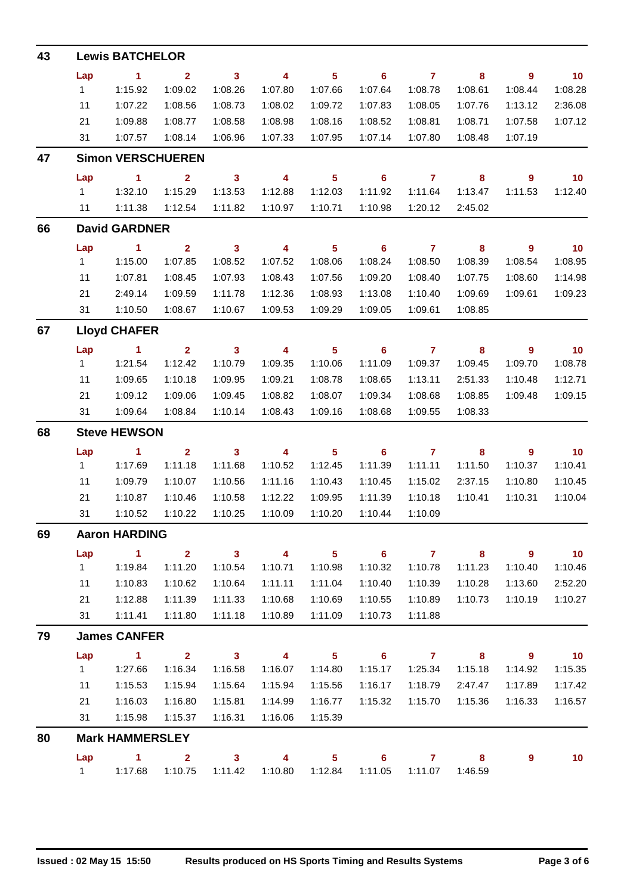| 43 |              | <b>Lewis BATCHELOR</b>   |                    |                            |                    |                         |                            |                    |                    |                    |                    |  |  |  |  |
|----|--------------|--------------------------|--------------------|----------------------------|--------------------|-------------------------|----------------------------|--------------------|--------------------|--------------------|--------------------|--|--|--|--|
|    | Lap          | $\blacktriangleleft$     | $\overline{2}$     | $\overline{\mathbf{3}}$    | 4                  | $5\phantom{a}$          | 6                          | $\overline{7}$     | 8                  | $\boldsymbol{9}$   | 10                 |  |  |  |  |
|    | $\mathbf{1}$ | 1:15.92                  | 1:09.02            | 1:08.26                    | 1:07.80            | 1:07.66                 | 1:07.64                    | 1:08.78            | 1:08.61            | 1:08.44            | 1:08.28            |  |  |  |  |
|    | 11           | 1:07.22                  | 1:08.56            | 1:08.73                    | 1:08.02            | 1:09.72                 | 1:07.83                    | 1:08.05            | 1:07.76            | 1:13.12            | 2:36.08            |  |  |  |  |
|    | 21           | 1:09.88                  | 1:08.77            | 1:08.58                    | 1:08.98            | 1:08.16                 | 1:08.52                    | 1:08.81            | 1:08.71            | 1:07.58            | 1:07.12            |  |  |  |  |
|    | 31           | 1:07.57                  | 1:08.14            | 1:06.96                    | 1:07.33            | 1:07.95                 | 1:07.14                    | 1:07.80            | 1:08.48            | 1:07.19            |                    |  |  |  |  |
| 47 |              | <b>Simon VERSCHUEREN</b> |                    |                            |                    |                         |                            |                    |                    |                    |                    |  |  |  |  |
|    | Lap          | $\blacktriangleleft$     | $\overline{2}$     | $\overline{\mathbf{3}}$    | 4                  | $5\phantom{a}$          | 6                          | $\overline{7}$     | 8                  | 9                  | 10                 |  |  |  |  |
|    | $\mathbf{1}$ | 1:32.10                  | 1:15.29            | 1:13.53                    | 1:12.88            | 1:12.03                 | 1:11.92                    | 1:11.64            | 1:13.47            | 1:11.53            | 1:12.40            |  |  |  |  |
|    | 11           | 1:11.38                  | 1:12.54            | 1:11.82                    | 1:10.97            | 1:10.71                 | 1:10.98                    | 1:20.12            | 2:45.02            |                    |                    |  |  |  |  |
| 66 |              | <b>David GARDNER</b>     |                    |                            |                    |                         |                            |                    |                    |                    |                    |  |  |  |  |
|    | Lap          | 1.                       | $\overline{2}$     | $\mathbf{3}$               | 4                  | $\overline{\mathbf{5}}$ | 6                          | $\mathbf{7}$       | 8                  | 9                  | 10                 |  |  |  |  |
|    | 1            | 1:15.00                  | 1:07.85            | 1:08.52                    | 1:07.52            | 1:08.06                 | 1:08.24                    | 1:08.50            | 1:08.39            | 1:08.54            | 1:08.95            |  |  |  |  |
|    | 11           | 1:07.81                  | 1:08.45            | 1:07.93                    | 1:08.43            | 1:07.56                 | 1:09.20                    | 1:08.40            | 1:07.75            | 1:08.60            | 1:14.98            |  |  |  |  |
|    | 21           | 2:49.14                  | 1:09.59            | 1:11.78                    | 1:12.36            | 1:08.93                 | 1:13.08                    | 1:10.40            | 1:09.69            | 1:09.61            | 1:09.23            |  |  |  |  |
|    | 31           | 1:10.50                  | 1:08.67            | 1:10.67                    | 1:09.53            | 1:09.29                 | 1:09.05                    | 1:09.61            | 1:08.85            |                    |                    |  |  |  |  |
| 67 |              | <b>Lloyd CHAFER</b>      |                    |                            |                    |                         |                            |                    |                    |                    |                    |  |  |  |  |
|    | Lap          | 1.                       | $\overline{2}$     | $\mathbf{3}$               | 4                  | $\overline{\mathbf{5}}$ | 6                          | $\mathbf{7}$       | 8                  | $\boldsymbol{9}$   | 10                 |  |  |  |  |
|    | $\mathbf{1}$ | 1:21.54                  | 1:12.42            | 1:10.79                    | 1:09.35            | 1:10.06                 | 1:11.09                    | 1:09.37            | 1:09.45            | 1:09.70            | 1:08.78            |  |  |  |  |
|    | 11           | 1:09.65                  | 1:10.18            | 1:09.95                    | 1:09.21            | 1:08.78                 | 1:08.65                    | 1:13.11            | 2:51.33            | 1:10.48            | 1:12.71            |  |  |  |  |
|    | 21           | 1:09.12                  | 1:09.06            | 1:09.45                    | 1:08.82            | 1:08.07                 | 1:09.34                    | 1:08.68            | 1:08.85            | 1:09.48            | 1:09.15            |  |  |  |  |
|    | 31           | 1:09.64                  | 1:08.84            | 1:10.14                    | 1:08.43            | 1:09.16                 | 1:08.68                    | 1:09.55            | 1:08.33            |                    |                    |  |  |  |  |
| 68 |              | <b>Steve HEWSON</b>      |                    |                            |                    |                         |                            |                    |                    |                    |                    |  |  |  |  |
|    | Lap          | 1.                       | $\overline{2}$     | $\mathbf{3}$               | 4                  | $\overline{\mathbf{5}}$ | 6                          | $\mathbf{7}$       | $\pmb{8}$          | 9                  | 10                 |  |  |  |  |
|    | $\mathbf{1}$ | 1:17.69                  | 1:11.18            | 1:11.68                    | 1:10.52            | 1:12.45                 | 1:11.39                    | 1:11.11            | 1:11.50            | 1:10.37            | 1:10.41            |  |  |  |  |
|    | 11           | 1:09.79                  | 1:10.07            | 1:10.56                    | 1:11.16            | 1:10.43                 | 1:10.45                    | 1:15.02            | 2:37.15            | 1:10.80            | 1:10.45            |  |  |  |  |
|    | 21           | 1:10.87                  | 1:10.46<br>1:10.22 | 1:10.58                    | 1:12.22            | 1:09.95                 | 1:11.39                    | 1:10.18            | 1:10.41            | 1:10.31            | 1:10.04            |  |  |  |  |
|    | 31           | 1:10.52                  |                    | 1:10.25                    | 1:10.09            | 1:10.20                 | 1:10.44                    | 1:10.09            |                    |                    |                    |  |  |  |  |
| 69 |              | <b>Aaron HARDING</b>     |                    |                            |                    |                         |                            |                    |                    |                    |                    |  |  |  |  |
|    | Lap          | $\blacktriangleleft$     | $\mathbf{2}$       | $\mathbf{3}$               | $\overline{4}$     | 5 <sup>1</sup>          | $\overline{\phantom{0}}$ 6 | $\overline{7}$     | 8                  | $\overline{9}$     | 10                 |  |  |  |  |
|    | 1            | 1:19.84                  | 1:11.20            | 1:10.54<br>1:10.64         | 1:10.71            | 1:10.98                 | 1:10.32                    | 1:10.78            | 1:11.23<br>1:10.28 | 1:10.40            | 1:10.46            |  |  |  |  |
|    | 11<br>21     | 1:10.83<br>1:12.88       | 1:10.62<br>1:11.39 | 1:11.33                    | 1:11.11<br>1:10.68 | 1:11.04<br>1:10.69      | 1:10.40<br>1:10.55         | 1:10.39<br>1:10.89 | 1:10.73            | 1:13.60<br>1:10.19 | 2:52.20<br>1:10.27 |  |  |  |  |
|    | 31           | 1:11.41                  | 1:11.80            | 1:11.18                    | 1:10.89            | 1:11.09                 | 1:10.73                    | 1:11.88            |                    |                    |                    |  |  |  |  |
| 79 |              | <b>James CANFER</b>      |                    |                            |                    |                         |                            |                    |                    |                    |                    |  |  |  |  |
|    | Lap          | $\blacktriangleleft$     | $\overline{2}$     | $\overline{\phantom{a}}$ 3 | $\overline{4}$     | 5 <sup>5</sup>          | $\overline{\phantom{0}}$ 6 | $\overline{7}$     | 8                  | 9                  | 10                 |  |  |  |  |
|    | $\mathbf{1}$ | 1:27.66                  | 1:16.34            | 1:16.58                    | 1:16.07            | 1:14.80                 | 1:15.17                    | 1:25.34            | 1:15.18            | 1:14.92            | 1:15.35            |  |  |  |  |
|    | 11           | 1:15.53                  | 1:15.94            | 1:15.64                    | 1:15.94            | 1:15.56                 | 1:16.17                    | 1:18.79            | 2:47.47            | 1:17.89            | 1:17.42            |  |  |  |  |
|    | 21           | 1:16.03                  | 1:16.80            | 1:15.81                    | 1:14.99            | 1:16.77                 | 1:15.32                    | 1:15.70            | 1:15.36            | 1:16.33            | 1:16.57            |  |  |  |  |
|    | 31           | 1:15.98                  | 1:15.37            | 1:16.31                    | 1:16.06            | 1:15.39                 |                            |                    |                    |                    |                    |  |  |  |  |
| 80 |              | <b>Mark HAMMERSLEY</b>   |                    |                            |                    |                         |                            |                    |                    |                    |                    |  |  |  |  |
|    | Lap          | $\blacktriangleleft$     | $\mathbf{2}$       | $\mathbf{3}$               | 4                  | 5 <sub>5</sub>          | 6                          | $\mathbf{7}$       | 8                  | 9                  | 10                 |  |  |  |  |
|    | 1            | 1:17.68                  | 1:10.75            | 1:11.42                    | 1:10.80            | 1:12.84                 | 1:11.05                    | 1:11.07            | 1:46.59            |                    |                    |  |  |  |  |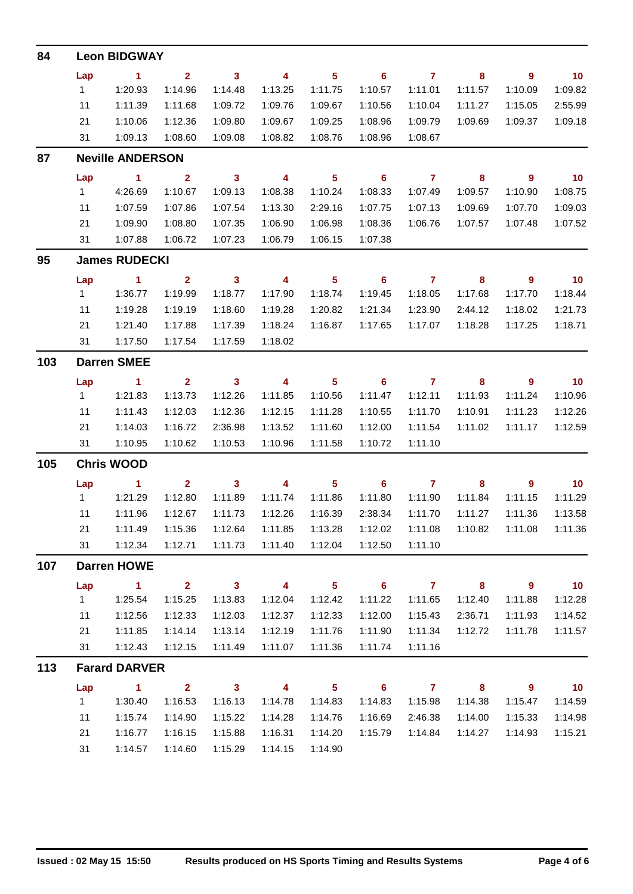| 84  | <b>Leon BIDGWAY</b> |                         |                |                            |                         |                |                            |                |         |                  |                   |  |  |  |
|-----|---------------------|-------------------------|----------------|----------------------------|-------------------------|----------------|----------------------------|----------------|---------|------------------|-------------------|--|--|--|
|     | Lap                 | $\blacksquare$ 1        | $\overline{2}$ | $\overline{\mathbf{3}}$    | 4                       | 5 <sub>5</sub> | 6                          | $\overline{7}$ | 8       | 9                | 10                |  |  |  |
|     | 1                   | 1:20.93                 | 1:14.96        | 1:14.48                    | 1:13.25                 | 1:11.75        | 1:10.57                    | 1:11.01        | 1:11.57 | 1:10.09          | 1:09.82           |  |  |  |
|     | 11                  | 1:11.39                 | 1:11.68        | 1:09.72                    | 1:09.76                 | 1:09.67        | 1:10.56                    | 1:10.04        | 1:11.27 | 1:15.05          | 2:55.99           |  |  |  |
|     | 21                  | 1:10.06                 | 1:12.36        | 1:09.80                    | 1:09.67                 | 1:09.25        | 1:08.96                    | 1:09.79        | 1:09.69 | 1:09.37          | 1:09.18           |  |  |  |
|     | 31                  | 1:09.13                 | 1:08.60        | 1:09.08                    | 1:08.82                 | 1:08.76        | 1:08.96                    | 1:08.67        |         |                  |                   |  |  |  |
| 87  |                     | <b>Neville ANDERSON</b> |                |                            |                         |                |                            |                |         |                  |                   |  |  |  |
|     | Lap                 | $\sim$ 1                | $\overline{2}$ | $\overline{\phantom{a}}$ 3 | $\overline{\mathbf{4}}$ | 5 <sub>5</sub> | $\overline{\phantom{0}}$ 6 | $\overline{7}$ | 8       | $\overline{9}$   | 10                |  |  |  |
|     | 1                   | 4:26.69                 | 1:10.67        | 1:09.13                    | 1:08.38                 | 1:10.24        | 1:08.33                    | 1:07.49        | 1:09.57 | 1:10.90          | 1:08.75           |  |  |  |
|     | 11                  | 1:07.59                 | 1:07.86        | 1:07.54                    | 1:13.30                 | 2:29.16        | 1:07.75                    | 1:07.13        | 1:09.69 | 1:07.70          | 1:09.03           |  |  |  |
|     | 21                  | 1:09.90                 | 1:08.80        | 1:07.35                    | 1:06.90                 | 1:06.98        | 1:08.36                    | 1:06.76        | 1:07.57 | 1:07.48          | 1:07.52           |  |  |  |
|     | 31                  | 1:07.88                 | 1:06.72        | 1:07.23                    | 1:06.79                 | 1:06.15        | 1:07.38                    |                |         |                  |                   |  |  |  |
| 95  |                     | <b>James RUDECKI</b>    |                |                            |                         |                |                            |                |         |                  |                   |  |  |  |
|     | Lap                 | $\blacksquare$ 1        | $\mathbf{2}$   | $\overline{\mathbf{3}}$    | $\overline{4}$          | 5 <sub>5</sub> | $\overline{\phantom{0}}$ 6 | $\overline{7}$ | 8       | $\boldsymbol{9}$ | $\blacksquare$ 10 |  |  |  |
|     | $\mathbf{1}$        | 1:36.77                 | 1:19.99        | 1:18.77                    | 1:17.90                 | 1:18.74        | 1:19.45                    | 1:18.05        | 1:17.68 | 1:17.70          | 1:18.44           |  |  |  |
|     | 11                  | 1:19.28                 | 1:19.19        | 1:18.60                    | 1:19.28                 | 1:20.82        | 1:21.34                    | 1:23.90        | 2:44.12 | 1:18.02          | 1:21.73           |  |  |  |
|     | 21                  | 1:21.40                 | 1:17.88        | 1:17.39                    | 1:18.24                 | 1:16.87        | 1:17.65                    | 1:17.07        | 1:18.28 | 1:17.25          | 1:18.71           |  |  |  |
|     | 31                  | 1:17.50                 | 1:17.54        | 1:17.59                    | 1:18.02                 |                |                            |                |         |                  |                   |  |  |  |
| 103 | <b>Darren SMEE</b>  |                         |                |                            |                         |                |                            |                |         |                  |                   |  |  |  |
|     | Lap                 | $\blacksquare$ 1        | $\mathbf{2}$   | $\overline{\mathbf{3}}$    | 4                       | 5 <sub>5</sub> | $\overline{\phantom{0}}$ 6 | $\overline{7}$ | 8       | 9                | 10                |  |  |  |
|     | $\mathbf{1}$        | 1:21.83                 | 1:13.73        | 1:12.26                    | 1:11.85                 | 1:10.56        | 1:11.47                    | 1:12.11        | 1:11.93 | 1:11.24          | 1:10.96           |  |  |  |
|     | 11                  | 1:11.43                 | 1:12.03        | 1:12.36                    | 1:12.15                 | 1:11.28        | 1:10.55                    | 1:11.70        | 1:10.91 | 1:11.23          | 1:12.26           |  |  |  |
|     | 21                  | 1:14.03                 | 1:16.72        | 2:36.98                    | 1:13.52                 | 1:11.60        | 1:12.00                    | 1:11.54        | 1:11.02 | 1:11.17          | 1:12.59           |  |  |  |
|     | 31                  | 1:10.95                 | 1:10.62        | 1:10.53                    | 1:10.96                 | 1:11.58        | 1:10.72                    | 1:11.10        |         |                  |                   |  |  |  |
| 105 | <b>Chris WOOD</b>   |                         |                |                            |                         |                |                            |                |         |                  |                   |  |  |  |
|     | Lap                 | $\blacktriangleleft$    | $\mathbf{2}$   | $\overline{\phantom{a}}$ 3 | 4                       | 5 <sup>5</sup> | 6                          | $\mathbf{7}$   | 8       | 9                | 10                |  |  |  |
|     | 1                   | 1:21.29                 | 1:12.80        | 1:11.89                    | 1:11.74                 | 1:11.86        | 1:11.80                    | 1:11.90        | 1:11.84 | 1:11.15          | 1:11.29           |  |  |  |
|     | 11                  | 1:11.96                 | 1:12.67        | 1:11.73                    | 1:12.26                 | 1:16.39        | 2:38.34                    | 1:11.70        | 1:11.27 | 1:11.36          | 1:13.58           |  |  |  |
|     | 21                  | 1:11.49                 | 1:15.36        | 1:12.64                    | 1:11.85                 | 1:13.28        | 1:12.02                    | 1:11.08        | 1:10.82 | 1:11.08          | 1:11.36           |  |  |  |
|     | 31                  | 1:12.34                 | 1:12.71        | 1:11.73                    | 1:11.40                 | 1:12.04        | 1:12.50                    | 1:11.10        |         |                  |                   |  |  |  |
| 107 |                     | <b>Darren HOWE</b>      |                |                            |                         |                |                            |                |         |                  |                   |  |  |  |
|     | Lap                 | $\mathbf{1}$            | 2 <sup>1</sup> | $\overline{\mathbf{3}}$    | 4                       | $5\phantom{a}$ | 6                          | $\mathbf{7}$   | 8       | 9                | 10 <sub>1</sub>   |  |  |  |
|     | 1                   | 1:25.54                 | 1:15.25        | 1:13.83                    | 1:12.04                 | 1:12.42        | 1:11.22                    | 1:11.65        | 1:12.40 | 1:11.88          | 1:12.28           |  |  |  |
|     | 11                  | 1:12.56                 | 1:12.33        | 1:12.03                    | 1:12.37                 | 1:12.33        | 1:12.00                    | 1:15.43        | 2:36.71 | 1:11.93          | 1:14.52           |  |  |  |
|     | 21                  | 1:11.85                 | 1:14.14        | 1:13.14                    | 1:12.19                 | 1:11.76        | 1:11.90                    | 1:11.34        | 1:12.72 | 1:11.78          | 1:11.57           |  |  |  |
|     | 31                  | 1:12.43                 | 1:12.15        | 1:11.49                    | 1:11.07                 | 1:11.36        | 1:11.74                    | 1:11.16        |         |                  |                   |  |  |  |
| 113 |                     | <b>Farard DARVER</b>    |                |                            |                         |                |                            |                |         |                  |                   |  |  |  |
|     | Lap                 | 1.                      | $\overline{2}$ | $\mathbf{3}$               | 4                       | 5 <sub>5</sub> | 6                          | $\overline{7}$ | 8       | 9                | 10 <sub>1</sub>   |  |  |  |
|     | 1                   | 1:30.40                 | 1:16.53        | 1:16.13                    | 1:14.78                 | 1:14.83        | 1:14.83                    | 1:15.98        | 1:14.38 | 1:15.47          | 1:14.59           |  |  |  |
|     | 11                  | 1:15.74                 | 1:14.90        | 1:15.22                    | 1:14.28                 | 1:14.76        | 1:16.69                    | 2:46.38        | 1:14.00 | 1:15.33          | 1:14.98           |  |  |  |
|     | 21                  | 1:16.77                 | 1:16.15        | 1:15.88                    | 1:16.31                 | 1:14.20        | 1:15.79                    | 1:14.84        | 1:14.27 | 1:14.93          | 1:15.21           |  |  |  |
|     | 31                  | 1:14.57                 | 1:14.60        | 1:15.29                    | 1:14.15                 | 1:14.90        |                            |                |         |                  |                   |  |  |  |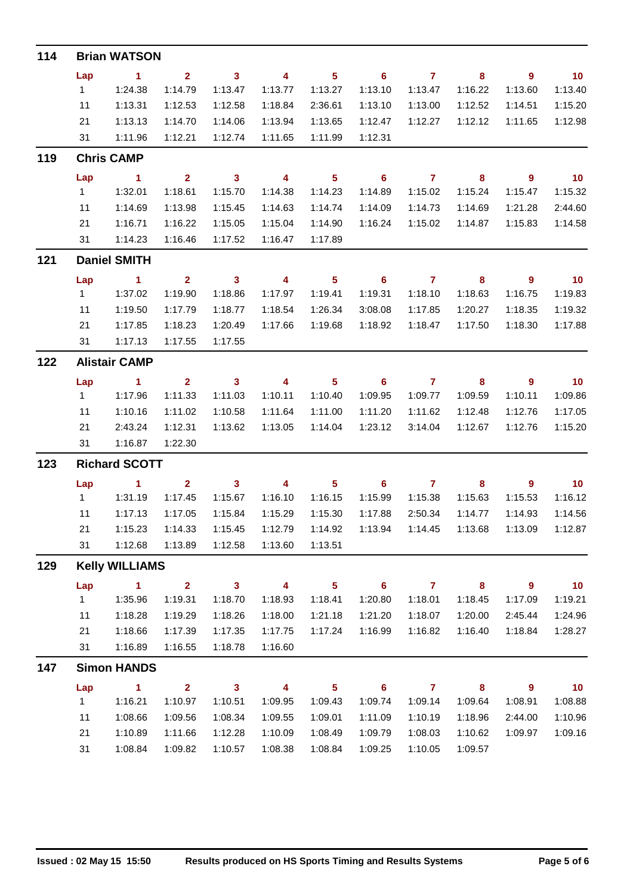| 114 |     | <b>Brian WATSON</b>   |                |                            |                         |                         |                            |                |         |                |                 |  |  |  |  |
|-----|-----|-----------------------|----------------|----------------------------|-------------------------|-------------------------|----------------------------|----------------|---------|----------------|-----------------|--|--|--|--|
|     | Lap | $\blacksquare$ 1      | $\mathbf{2}$   | $\overline{\mathbf{3}}$    | 4                       | 5 <sup>5</sup>          | $\overline{\phantom{0}}$ 6 | $\overline{7}$ | 8       | $\overline{9}$ | 10              |  |  |  |  |
|     | 1   | 1:24.38               | 1:14.79        | 1:13.47                    | 1:13.77                 | 1:13.27                 | 1:13.10                    | 1:13.47        | 1:16.22 | 1:13.60        | 1:13.40         |  |  |  |  |
|     | 11  | 1:13.31               | 1:12.53        | 1:12.58                    | 1:18.84                 | 2:36.61                 | 1:13.10                    | 1:13.00        | 1:12.52 | 1:14.51        | 1:15.20         |  |  |  |  |
|     | 21  | 1:13.13               | 1:14.70        | 1:14.06                    | 1:13.94                 | 1:13.65                 | 1:12.47                    | 1:12.27        | 1:12.12 | 1:11.65        | 1:12.98         |  |  |  |  |
|     | 31  | 1:11.96               | 1:12.21        | 1:12.74                    | 1:11.65                 | 1:11.99                 | 1:12.31                    |                |         |                |                 |  |  |  |  |
| 119 |     | <b>Chris CAMP</b>     |                |                            |                         |                         |                            |                |         |                |                 |  |  |  |  |
|     | Lap | $\blacksquare$ 1      | $\mathbf{2}$   | $\overline{\mathbf{3}}$    | $\overline{\mathbf{4}}$ | $5^{\circ}$             | $\overline{\phantom{0}}$ 6 | $\overline{7}$ | 8       | $\overline{9}$ | $\overline{10}$ |  |  |  |  |
|     | 1   | 1:32.01               | 1:18.61        | 1:15.70                    | 1:14.38                 | 1:14.23                 | 1:14.89                    | 1:15.02        | 1:15.24 | 1:15.47        | 1:15.32         |  |  |  |  |
|     | 11  | 1:14.69               | 1:13.98        | 1:15.45                    | 1:14.63                 | 1:14.74                 | 1:14.09                    | 1:14.73        | 1:14.69 | 1:21.28        | 2:44.60         |  |  |  |  |
|     | 21  | 1:16.71               | 1:16.22        | 1:15.05                    | 1:15.04                 | 1:14.90                 | 1:16.24                    | 1:15.02        | 1:14.87 | 1:15.83        | 1:14.58         |  |  |  |  |
|     | 31  | 1:14.23               | 1:16.46        | 1:17.52                    | 1:16.47                 | 1:17.89                 |                            |                |         |                |                 |  |  |  |  |
| 121 |     | <b>Daniel SMITH</b>   |                |                            |                         |                         |                            |                |         |                |                 |  |  |  |  |
|     | Lap | $\sim$ 1              | $\mathbf{2}$   | $\overline{\mathbf{3}}$    | 4                       | 5 <sub>5</sub>          | $\overline{\phantom{0}}$ 6 | $\overline{7}$ | 8       | $\overline{9}$ | $\overline{10}$ |  |  |  |  |
|     | 1   | 1:37.02               | 1:19.90        | 1:18.86                    | 1:17.97                 | 1:19.41                 | 1:19.31                    | 1:18.10        | 1:18.63 | 1:16.75        | 1:19.83         |  |  |  |  |
|     | 11  | 1:19.50               | 1:17.79        | 1:18.77                    | 1:18.54                 | 1:26.34                 | 3:08.08                    | 1:17.85        | 1:20.27 | 1:18.35        | 1:19.32         |  |  |  |  |
|     | 21  | 1:17.85               | 1:18.23        | 1:20.49                    | 1:17.66                 | 1:19.68                 | 1:18.92                    | 1:18.47        | 1:17.50 | 1:18.30        | 1:17.88         |  |  |  |  |
|     | 31  | 1:17.13               | 1:17.55        | 1:17.55                    |                         |                         |                            |                |         |                |                 |  |  |  |  |
| 122 |     | <b>Alistair CAMP</b>  |                |                            |                         |                         |                            |                |         |                |                 |  |  |  |  |
|     | Lap | $\sim$ 1              | $\mathbf{2}$   | $\overline{\phantom{a}}$ 3 | 4                       | 5 <sup>5</sup>          | $\overline{\phantom{0}}$ 6 | $\overline{7}$ | 8       | $\overline{9}$ | $\overline{10}$ |  |  |  |  |
|     | 1   | 1:17.96               | 1:11.33        | 1:11.03                    | 1:10.11                 | 1:10.40                 | 1:09.95                    | 1:09.77        | 1:09.59 | 1:10.11        | 1:09.86         |  |  |  |  |
|     | 11  | 1:10.16               | 1:11.02        | 1:10.58                    | 1:11.64                 | 1:11.00                 | 1:11.20                    | 1:11.62        | 1:12.48 | 1:12.76        | 1:17.05         |  |  |  |  |
|     | 21  | 2:43.24               | 1:12.31        | 1:13.62                    | 1:13.05                 | 1:14.04                 | 1:23.12                    | 3:14.04        | 1:12.67 | 1:12.76        | 1:15.20         |  |  |  |  |
|     | 31  | 1:16.87               | 1:22.30        |                            |                         |                         |                            |                |         |                |                 |  |  |  |  |
| 123 |     | <b>Richard SCOTT</b>  |                |                            |                         |                         |                            |                |         |                |                 |  |  |  |  |
|     | Lap | $\blacksquare$        | $\overline{2}$ | $\mathbf{3}$               | 4                       | 5 <sup>5</sup>          | $\overline{\phantom{0}}$ 6 | $\overline{7}$ | 8       | 9              | 10              |  |  |  |  |
|     | 1   | 1:31.19               | 1:17.45        | 1:15.67                    | 1:16.10                 | 1:16.15                 | 1:15.99                    | 1:15.38        | 1:15.63 | 1:15.53        | 1:16.12         |  |  |  |  |
|     | 11  | 1:17.13               | 1:17.05        | 1:15.84                    | 1:15.29                 | 1:15.30                 | 1:17.88                    | 2:50.34        | 1:14.77 | 1:14.93        | 1:14.56         |  |  |  |  |
|     | 21  | 1:15.23               | 1:14.33        | 1:15.45                    | 1:12.79                 | 1:14.92                 | 1:13.94                    | 1:14.45        | 1:13.68 | 1:13.09        | 1:12.87         |  |  |  |  |
|     | 31  | 1:12.68               | 1:13.89        | 1:12.58                    | 1:13.60                 | 1:13.51                 |                            |                |         |                |                 |  |  |  |  |
| 129 |     | <b>Kelly WILLIAMS</b> |                |                            |                         |                         |                            |                |         |                |                 |  |  |  |  |
|     | Lap | 1.                    | 2 <sup>1</sup> | $\mathbf{3}$               | 4                       | $\overline{\mathbf{5}}$ | 6                          | $\mathbf{7}$   | 8       | 9              | 10 <sub>1</sub> |  |  |  |  |
|     | 1   | 1:35.96               | 1:19.31        | 1:18.70                    | 1:18.93                 | 1:18.41                 | 1:20.80                    | 1:18.01        | 1:18.45 | 1:17.09        | 1:19.21         |  |  |  |  |
|     | 11  | 1:18.28               | 1:19.29        | 1:18.26                    | 1:18.00                 | 1:21.18                 | 1:21.20                    | 1:18.07        | 1:20.00 | 2:45.44        | 1:24.96         |  |  |  |  |
|     | 21  | 1:18.66               | 1:17.39        | 1:17.35                    | 1:17.75                 | 1:17.24                 | 1:16.99                    | 1:16.82        | 1:16.40 | 1:18.84        | 1:28.27         |  |  |  |  |
|     | 31  | 1:16.89               | 1:16.55        | 1:18.78                    | 1:16.60                 |                         |                            |                |         |                |                 |  |  |  |  |
| 147 |     | <b>Simon HANDS</b>    |                |                            |                         |                         |                            |                |         |                |                 |  |  |  |  |
|     | Lap | 1                     | 2 <sup>1</sup> | $\mathbf{3}$               | 4                       | $\overline{\mathbf{5}}$ | $6\phantom{a}$             | $\mathbf{7}$   | 8       | 9              | 10 <sub>1</sub> |  |  |  |  |
|     | 1   | 1:16.21               | 1:10.97        | 1:10.51                    | 1:09.95                 | 1:09.43                 | 1:09.74                    | 1:09.14        | 1:09.64 | 1:08.91        | 1:08.88         |  |  |  |  |
|     | 11  | 1:08.66               | 1:09.56        | 1:08.34                    | 1:09.55                 | 1:09.01                 | 1:11.09                    | 1:10.19        | 1:18.96 | 2:44.00        | 1:10.96         |  |  |  |  |
|     | 21  | 1:10.89               | 1:11.66        | 1:12.28                    | 1:10.09                 | 1:08.49                 | 1:09.79                    | 1:08.03        | 1:10.62 | 1:09.97        | 1:09.16         |  |  |  |  |
|     | 31  | 1:08.84               | 1:09.82        | 1:10.57                    | 1:08.38                 | 1:08.84                 | 1:09.25                    | 1:10.05        | 1:09.57 |                |                 |  |  |  |  |